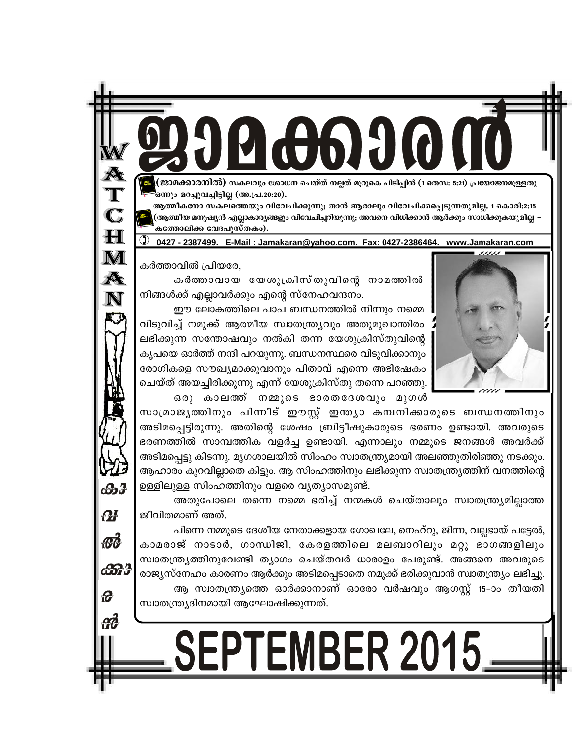അതുപോലെ തന്നെ നമ്മെ ഭരിച്ച് നന്മകൾ ചെയ്താലും സ്വാതന്ത്ര്യമില്ലാത്ത ജീവിതമാണ് അത്. പിന്നെ നമ്മുടെ ദേശീയ നേതാക്കളായ ഗോഖലേ, നെഹ്റു, ജിന്ന, വല്ലഭായ് പട്ടേൽ, കാമരാജ് നാടാർ, ഗാന്ധിജി, കേരളത്തിലെ മലബാറിലും മറ്റു ഭാഗങ്ങളിലും സ്വാതന്ത്ര്യത്തിനുവേണ്ടി ത്യാഗം ചെയ്തവർ ധാരാളം പേരുണ്ട്. അങ്ങനെ അവരുടെ രാജ്യസ്നേഹം കാരണം ആർക്കും അടിമപ്പെടാതെ നമുക്ക് ഭരിക്കുവാൻ സ്വാതന്ത്ര്യം ലഭിച്ചു. ആ സ്വാതന്ത്ര്യത്തെ ഓർക്കാനാണ് ഓരോ വർഷവും ആഗസ്റ്റ് 15-ാം തീയതി സ്വാതന്ത്ര്യദിനമായി ആഘോഷിക്കുന്നത്.

SEPTEMBER 2015.

സാമ്രാജ്യത്തിനും പിന്നീട് ഈസ്റ്റ് ഇന്ത്യാ കമ്പനിക്കാരുടെ ബന്ധനത്തിനും അടിമപ്പെട്ടിരുന്നു. അതിന്റെ ശേഷം ബ്രിട്ടീഷുകാരുടെ ഭരണം ഉണ്ടായി. അവരുടെ ഭരണത്തിൽ സാമ്പത്തിക വളർച്ച ഉണ്ടായി. എന്നാലും നമ്മുടെ ജനങ്ങൾ അവർക്ക് അടിമപ്പെട്ടു കിടന്നു. മൃഗശാലയിൽ സിംഹം സ്വാതന്ത്ര്യമായി അലഞ്ഞുതിരിഞ്ഞു നടക്കും. ആഹാരം കുറവില്ലാതെ കിട്ടും. ആ സിംഹത്തിനും ലഭിക്കുന്ന സ്വാതന്ത്ര്യത്തിന് വനത്തിന്റെ ഉള്ളിലുള്ള സിംഹത്തിനും വളരെ വൃത്യാസമുണ്ട്.

ഈ ലോകത്തിലെ പാപ ബന്ധനത്തിൽ നിന്നും നമ്മെ വിടുവിച്ച് നമുക്ക് ആത്മീയ സ്വാതന്ത്ര്യവും അതുമുഖാന്തിരം ലഭിക്കുന്ന സന്തോഷവും നൽകി തന്ന യേശുക്രിസ്തുവിന്റെ കൃപയെ ഓർത്ത് നന്ദി പറയുന്നു. ബന്ധനസ്ഥരെ വിടുവിക്കാനും രോഗികളെ സൗഖ്യമാക്കുവാനും പിതാവ് എന്നെ അഭിഷേകം ചെയ്ത് അയച്ചിരിക്കുന്നു എന്ന് യേശുക്രിസ്തു തന്നെ പറഞ്ഞു. ഒരു കാലത്ത് നമ്മുടെ ഭാരതദേശവും മുഗൾ

കർത്താവിൽ പ്രിയരേ, കർത്താവായ യേശുക്രിസ്തുവിന്റെ നാമത്തിൽ നിങ്ങൾക്ക് എല്ലാവർക്കും എന്റെ സ്നേഹവന്ദനം.

0427 - 2387499. E-Mail: Jamakaran@yahoo.com. Fax: 0427-2386464. www.Jamakaran.com

ഒനും മറച്ചുവച്ചിട്ടില്ല (അ.പ്ര.20:20). ആത്മീകനോ സകലത്തെയും വിവേചിക്കുന്നു; താൻ ആരാലും വിവേചിക്കപ്പെടുന്നതുമില്ല. 1 കൊരി:2:15 .<br>പ്രതൃത്മീയ മനുഷ്യൻ എല്ലാകാര്യങ്ങളും വിവേചിച്ചറിയുന്നു; അവനെ വിധിക്കാൻ ആർക്കും സാധിക്കുകയുമില്ല കത്തോലിക്ക വേദപുസ്തകം).

ജാമക്കാരനിൽ) സകലവും ശോധന ചെയ്ത് നല്ലത് മുറുകെ പിടിപ്പിൻ (1 തെസ: 5:21) പ്രയോജനമുള്ളതു





 $\mathbf N$ 

കൂ

**OF** 

 $456$ 

ക്കൂ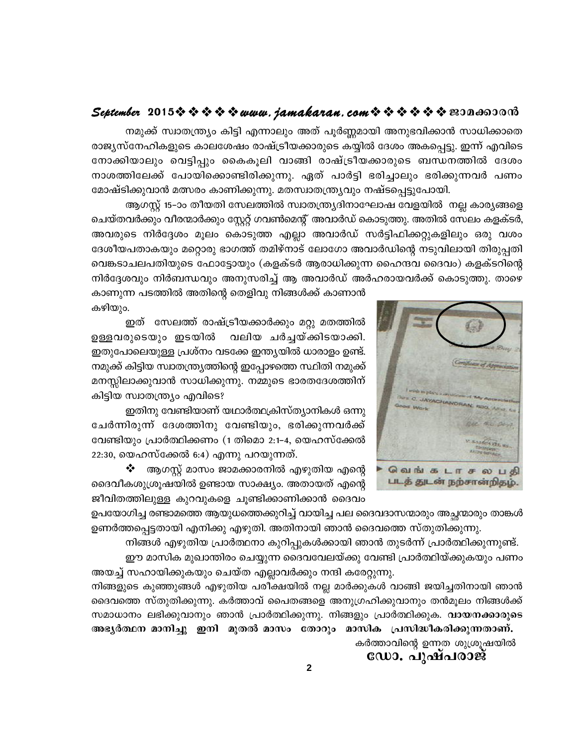നമുക്ക് സ്വാതന്ത്ര്യം കിട്ടി എന്നാലും അത് പൂർണ്ണമായി അനുഭവിക്കാൻ സാധിക്കാതെ രാജ്യസ്നേഹികളുടെ കാലശേഷം രാഷ്ട്രീയക്കാരുടെ കയ്യിൽ ദേശം അകപ്പെട്ടു. ഇന്ന് എവിടെ നോക്കിയാലും വെട്ടിപ്പും കൈകൂലി വാങ്ങി രാഷ്ട്രീയക്കാരുടെ ബന്ധനത്തിൽ ദേശം നാശത്തിലേക്ക് പോയിക്കൊണ്ടിരിക്കുന്നു. ഏത് പാർട്ടി ഭരിച്ചാലും ഭരിക്കുന്നവർ പണം മോഷ്ടിക്കുവാൻ മത്സരം കാണിക്കുന്നു. മതസ്വാതന്ത്ര്യവും നഷ്ടപ്പെട്ടുപോയി.

ആഗസ്റ്റ് 15–ാം തീയതി സേലത്തിൽ സ്വാതന്ത്ര്യദിനാഘോഷ വേളയിൽ നല്ല കാര്യങ്ങളെ ചെയ്തവർക്കും വീരന്മാർക്കും സ്റ്റേറ്റ് ഗവൺമെന്റ് അവാർഡ് കൊടുത്തു. അതിൽ സേലം കളക്ടർ, അവരുടെ നിർദ്ദേശം മൂലം കൊടുത്ത എല്ലാ അവാർഡ് സർട്ടിഫിക്കറ്റുകളിലും ഒരു വശം ദേശീയപതാകയും മറ്റൊരു ഭാഗത്ത് തമിഴ്നാട് ലോഗോ അവാർഡിന്റെ നടുവിലായി തിരുപ്പതി വെങ്കടാചലപതിയുടെ ഫോട്ടോയും (കളക്ടർ ആരാധിക്കുന്ന ഹൈന്ദവ ദൈവം) കളക്ടറിന്റെ നിർദ്ദേശവും നിർബന്ധവും അനുസരിച്ച് ആ അവാർഡ് അർഹരായവർക്ക് കൊടുത്തു. താഴെ

കാണുന്ന പടത്തിൽ അതിന്റെ തെളിവു നിങ്ങൾക്ക് കാണാൻ കഴിയും.

ഇത് സേലത്ത് രാഷ്ട്രീയക്കാർക്കും മറ്റു മതത്തിൽ വലിയ ചർച്ചയ്ക്കിടയാക്കി. ഉള്ളവരുടെയും ഇടയിൽ ഇതുപോലെയുള്ള പ്രശ്നം വടക്കേ ഇന്ത്യയിൽ ധാരാളം ഉണ്ട്. നമുക്ക് കിട്ടിയ സ്വാതന്ത്ര്യത്തിന്റെ ഇപ്പോഴത്തെ സ്ഥിതി നമുക്ക് മനസ്സിലാക്കുവാൻ സാധിക്കുന്നു. നമ്മുടെ ഭാരതദേശത്തിന് കിട്ടിയ സ്വാതന്ത്ര്യം എവിടെ?

ഇതിനു വേണ്ടിയാണ് യഥാർത്ഥക്രിസ്ത്യാനികൾ ഒന്നു ചേർന്നിരുന്ന് ദേശത്തിനു വേണ്ടിയും, ഭരിക്കുന്നവർക്ക് വേണ്ടിയും പ്രാർത്ഥിക്കണം (1 തിമൊ 2:1-4, യെഹസ്ക്കേൽ 22:30, യെഹസ്ക്കേൽ 6:4) എന്നു പറയുന്നത്.

 $\clubsuit$  ആഗസ്റ്റ് മാസം ജാമക്കാരനിൽ എഴുതിയ എന്റെ ദൈവീകശുശ്രൂഷയിൽ ഉണ്ടായ സാക്ഷ്യം. അതായത് എന്റെ ജീവിതത്തിലുള്ള കുറവുകളെ ചൂണ്ടിക്കാണിക്കാൻ ദൈവം

ഉപയോഗിച്ച രണ്ടാമത്തെ ആയുധത്തെക്കുറിച്ച് വായിച്ച പല ദൈവദാസന്മാരും അച്ഛന്മാരും താങ്കൾ ഉണർത്തപ്പെട്ടതായി എനിക്കു എഴുതി. അതിനായി ഞാൻ ദൈവത്തെ സ്തുതിക്കുന്നു.

നിങ്ങൾ എഴുതിയ പ്രാർത്ഥനാ കുറിപ്പുകൾക്കായി ഞാൻ തുടർന്ന് പ്രാർത്ഥിക്കുന്നുണ്ട്. ഈ മാസിക മുഖാന്തിരം ചെയ്യുന്ന ദൈവവേലയ്ക്കു വേണ്ടി പ്രാർത്ഥിയ്ക്കുകയും പണം

അയച്ച് സഹായിക്കുകയും ചെയ്ത എല്ലാവർക്കും നന്ദി കരേറ്റുന്നു. നിങ്ങളുടെ കുഞ്ഞുങ്ങൾ എഴുതിയ പരീക്ഷയിൽ നല്ല മാർക്കുകൾ വാങ്ങി ജയിച്ചതിനായി ഞാൻ ദൈവത്തെ സ്തുതിക്കുന്നു. കർത്താവ് പൈതങ്ങളെ അനുഗ്രഹിക്കുവാനും തൻമൂലം നിങ്ങൾക്ക് സമാധാനം ലഭിക്കുവാനും ഞാൻ പ്രാർത്ഥിക്കുന്നു. നിങ്ങളും പ്രാർത്ഥിക്കുക. **വായനക്കാരുടെ** 

അഭൃർത്ഥന മാനിച്ചു ഇനി മുതൽ മാസം തോറും മാസിക പ്രസിദ്ധീകരിക്കുന്നതാണ്. കർത്താവിന്റെ ഉന്നത ശുശ്രൂഷയിൽ

ഡോ. പുഷപരാജ

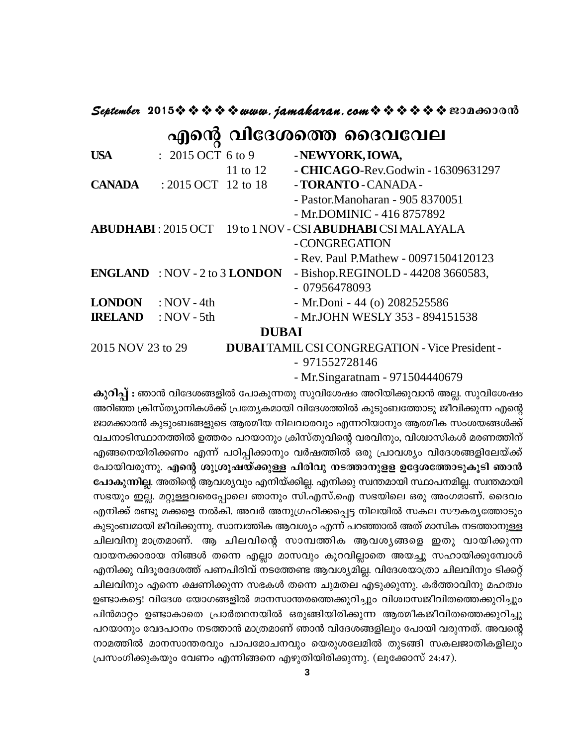#### 

## എന്റെ വിദേശത്തെ ദൈവവേല

| <b>USA</b>                                  | $: 2015$ OCT 6 to 9 |            | - NEWYORK, IOWA,                                                          |
|---------------------------------------------|---------------------|------------|---------------------------------------------------------------------------|
|                                             |                     | 11 to $12$ | - CHICAGO-Rev.Godwin - 16309631297                                        |
| <b>CANADA</b>                               | : 2015 OCT 12 to 18 |            | - TORANTO - CANADA -                                                      |
|                                             |                     |            | - Pastor.Manoharan - 905 8370051                                          |
|                                             |                     |            | - Mr.DOMINIC - 416 8757892                                                |
|                                             |                     |            | <b>ABUDHABI</b> : 2015 OCT 19 to 1 NOV - CSI <b>ABUDHABI</b> CSI MALAYALA |
|                                             |                     |            | - CONGREGATION                                                            |
|                                             |                     |            | - Rev. Paul P. Mathew - 00971504120123                                    |
| <b>ENGLAND</b> : NOV - 2 to 3 <b>LONDON</b> |                     |            | - Bishop.REGINOLD - 44208 3660583,                                        |
|                                             |                     |            | $-07956478093$                                                            |
| <b>LONDON</b>                               | : $NOV - 4th$       |            | - Mr.Doni - 44 (o) 2082525586                                             |
| <b>IRELAND</b>                              | : $NOV - 5th$       |            | - Mr.JOHN WESLY 353 - 894151538                                           |
| <b>DUBAI</b>                                |                     |            |                                                                           |
| 2015 NOV 23 to 29                           |                     |            | <b>DUBAITAMIL CSI CONGREGATION - Vice President -</b>                     |

- 971552728146

- Mr.Singaratnam - 971504440679

കുറിപ്പ് : ഞാൻ വിദേശങ്ങളിൽ പോകുന്നതു സുവിശേഷം അറിയിക്കുവാൻ അല്ല. സുവിശേഷം അറിഞ്ഞ ക്രിസ്ത്യാനികൾക്ക് പ്രത്യേകമായി വിദേശത്തിൽ കുടുംബത്തോടു ജീവിക്കുന്ന എന്റെ ജാമക്കാരൻ കുടുംബങ്ങളുടെ ആത്മീയ നിലവാരവും എന്നറിയാനും ആത്മീക സംശയങ്ങൾക്ക് വചനാടിസ്ഥാനത്തിൽ ഉത്തരം പറയാനും ക്രിസ്തുവിന്റെ വരവിനും, വിശ്വാസികൾ മരണത്തിന് എങ്ങനെയിരിക്കണം എന്ന് പഠിപ്പിക്കാനും വർഷത്തിൽ ഒരു പ്രാവശ്യം വിദേശങ്ങളിലേയ്ക്ക് പോയിവരുന്നു. എന്റെ ശുശ്രൂഷയ്ക്കുള്ള പിരിവു നടത്താനുളള ഉദ്ദേശത്തോടുകൂടി ഞാൻ പോകുന്നില്ല. അതിന്റെ ആവശ്യവും എനിയ്ക്കില്ല. എനിക്കു സ്വന്തമായി സ്ഥാപനമില്ല. സ്വന്തമായി സഭയും ഇല്ല. മറ്റുള്ളവരെപ്പോലെ ഞാനും സി.എസ്.ഐ സഭയിലെ ഒരു അംഗമാണ്. ദൈവം എനിക്ക് രണ്ടു മക്കളെ നൽകി. അവർ അനുഗ്രഹിക്കപ്പെട്ട നിലയിൽ സകല സൗകരൃത്തോടും കുടുംബമായി ജീവിക്കുന്നു. സാമ്പത്തിക ആവശ്യം എന്ന് പറഞ്ഞാൽ അത് മാസിക നടത്താനുള്ള ചിലവിനു മാത്രമാണ്. ആ ചിലവിന്റെ സാമ്പത്തിക ആവശ്യങ്ങളെ ഇതു വായിക്കുന്ന വായനക്കാരായ നിങ്ങൾ തന്നെ എല്ലാ മാസവും കുറവില്ലാതെ അയച്ചു സഹായിക്കുമ്പോൾ .എനിക്കു വിദൂരദേശത്ത് പണപിരിവ് നടത്തേണ്ട ആവശ്യമില്ല. വിദേശയാത്രാ ചിലവിനും ടിക്കറ്റ് ചിലവിനും എന്നെ ക്ഷണിക്കുന്ന സഭകൾ തന്നെ ചുമതല എടുക്കുന്നു. കർത്താവിനു മഹത്വം ഉണ്ടാകട്ടെ! വിദേശ യോഗങ്ങളിൽ മാനസാന്തരത്തെക്കുറിച്ചും വിശ്വാസജീവിതത്തെക്കുറിച്ചും പിൻമാറ്റം ഉണ്ടാകാതെ പ്രാർത്ഥനയിൽ ഒരുങ്ങിയിരിക്കുന്ന ആത്മീകജീവിതത്തെക്കുറിച്ചു പറയാനും വേദപഠനം നടത്താൻ മാത്രമാണ് ഞാൻ വിദേശങ്ങളിലും പോയി വരുന്നത്. അവന്റെ നാമത്തിൽ മാനസാന്തരവും പാപമോചനവും യെരുശലേമിൽ തുടങ്ങി സകലജാതികളിലും പ്രസംഗിക്കുകയും വേണം എന്നിങ്ങനെ എഴുതിയിരിക്കുന്നു. (ലുക്കോസ് 24:47).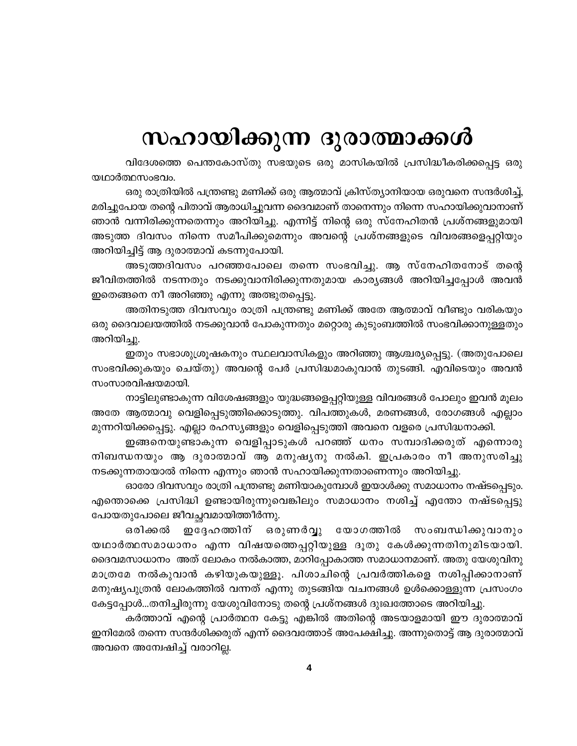# സഹായിക്കുന്ന ദുരാത്മാക്കൾ

വിദേശത്തെ പെന്തകോസ്തു സഭയുടെ ഒരു മാസികയിൽ പ്രസിദ്ധീകരിക്കപ്പെട്ട ഒരു യഥാർത്ഥസംഭവം.

ഒരു രാത്രിയിൽ പന്ത്രണ്ടു മണിക്ക് ഒരു ആത്മാവ് ക്രിസ്ത്യാനിയായ ഒരുവനെ സന്ദർശിച്ച്, മരിച്ചുപോയ തന്റെ പിതാവ് ആരാധിച്ചുവന്ന ദൈവമാണ് താനെന്നും നിന്നെ സഹായിക്കുവാനാണ് ഞാൻ വന്നിരിക്കുന്നതെന്നും അറിയിച്ചു. എന്നിട്ട് നിന്റെ ഒരു സ്നേഹിതൻ പ്രശ്നങ്ങളുമായി അടുത്ത ദിവസം നിന്നെ സമീപിക്കുമെന്നും അവന്റെ പ്രശ്നങ്ങളുടെ വിവരങ്ങളെപ്പറ്റിയും അറിയിച്ചിട്ട് ആ ദുരാത്മാവ് കടന്നുപോയി.

അടുത്തദിവസം പറഞ്ഞപോലെ തന്നെ സംഭവിച്ചു. ആ സ്നേഹിതനോട് തന്റെ ജീവിതത്തിൽ നടന്നതും നടക്കുവാനിരിക്കുന്നതുമായ കാര്യങ്ങൾ അറിയിച്ചപ്പോൾ അവൻ ഇതെങ്ങനെ നീ അറിഞ്ഞു എന്നു അത്ഭുതപ്പെട്ടു.

അതിനടുത്ത ദിവസവും രാത്രി പന്ത്രണ്ടു മണിക്ക് അതേ ആത്മാവ് വീണ്ടും വരികയും ഒരു ദൈവാലയത്തിൽ നടക്കുവാൻ പോകുന്നതും മറ്റൊരു കുടുംബത്തിൽ സംഭവിക്കാനുള്ളതും അറിയിച്ചു.

ഇതും സഭാശുശ്രൂഷകനും സ്ഥലവാസികളും അറിഞ്ഞു ആശ്ചര്യപ്പെട്ടു. (അതുപോലെ സംഭവിക്കുകയും ചെയ്തു) അവന്റെ പേർ പ്രസിദ്ധമാകുവാൻ തുടങ്ങി. എവിടെയും അവൻ സംസാരവിഷയമായി.

നാട്ടിലുണ്ടാകുന്ന വിശേഷങ്ങളും യുദ്ധങ്ങളെപ്പറ്റിയുള്ള വിവരങ്ങൾ പോലും ഇവൻ മൂലം അതേ ആത്മാവു വെളിപ്പെടുത്തിക്കൊടുത്തു. വിപത്തുകൾ, മരണങ്ങൾ, രോഗങ്ങൾ എല്ലാം മുന്നറിയിക്കപ്പെട്ടു. എല്ലാ രഹസ്യങ്ങളും വെളിപ്പെടുത്തി അവനെ വളരെ പ്രസിദ്ധനാക്കി.

ഇങ്ങനെയുണ്ടാകുന്ന വെളിപ്പാടുകൾ പറഞ്ഞ് ധനം സമ്പാദിക്കരുത് എന്നൊരു നിബന്ധനയും ആ ദുരാത്മാവ് ആ മനുഷൃനു നൽകി. ഇപ്രകാരം നീ അനുസരിച്ചു നടക്കുന്നതായാൽ നിന്നെ എന്നും ഞാൻ സഹായിക്കുന്നതാണെന്നും അറിയിച്ചു.

ഓരോ ദിവസവും രാത്രി പന്ത്രണ്ടു മണിയാകുമ്പോൾ ഇയാൾക്കു സമാധാനം നഷ്ടപ്പെടും. എന്തൊക്കെ പ്രസിദ്ധി ഉണ്ടായിരുന്നുവെങ്കിലും സമാധാനം നശിച്ച് എന്തോ നഷ്ടപ്പെട്ടു പോയതുപോലെ ജീവച്ഛവമായിത്തീർന്നു.

ഒരുണർവ്വു യോഗത്തിൽ ഒരിക്കൽ ഇദേഹത്തിന് സംബന്ധിക്കുവാനും യഥാർത്ഥസമാധാനം എന്ന വിഷയത്തെപ്പറ്റിയുള്ള ദൂതു കേൾക്കുന്നതിനുമിടയായി. ദൈവമസാധാനം അത് ലോകം നൽകാത്ത, മാറിപ്പോകാത്ത സമാധാനമാണ്. അതു യേശുവിനു മാത്രമേ നൽകുവാൻ കഴിയുകയുള്ളൂ. പിശാചിന്റെ പ്രവർത്തികളെ നശിപ്പിക്കാനാണ് മനുഷ്യപുത്രൻ ലോകത്തിൽ വന്നത് എന്നു തുടങ്ങിയ വചനങ്ങൾ ഉൾക്കൊള്ളുന്ന പ്രസംഗം കേട്ടപ്പോൾ...തനിച്ചിരുന്നു യേശുവിനോടു തന്റെ പ്രശ്നങ്ങൾ ദുഃഖത്തോടെ അറിയിച്ചു.

കർത്താവ് എന്റെ പ്രാർത്ഥന കേട്ടു എങ്കിൽ അതിന്റെ അടയാളമായി ഈ ദുരാത്മാവ് ഇനിമേൽ തന്നെ സന്ദർശിക്കരുത് എന്ന് ദൈവത്തോട് അപേക്ഷിച്ചു. അന്നുതൊട്ട് ആ ദുരാത്മാവ് അവനെ അന്വേഷിച്ച് വരാറില്ല.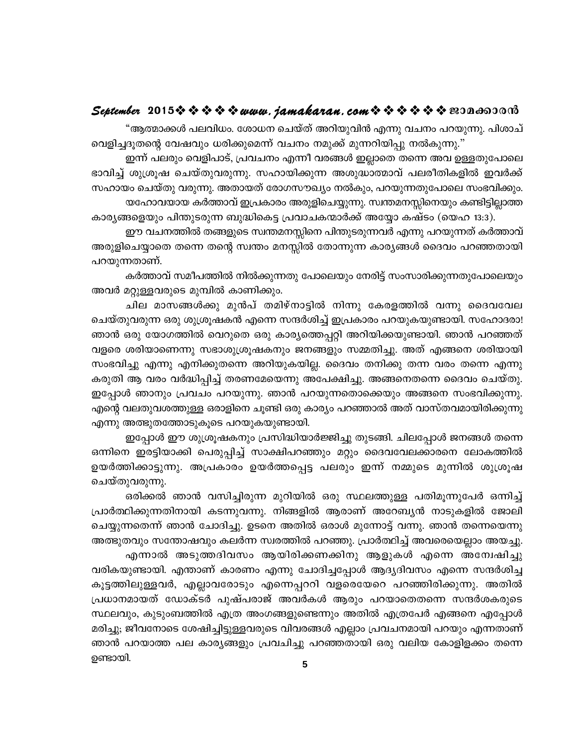"ആത്മാക്കൾ പലവിധം. ശോധന ചെയ്ത് അറിയുവിൻ എന്നു വചനം പറയുന്നു. പിശാച് വെളിച്ചദൂതന്റെ വേഷവും ധരിക്കുമെന്ന് വചനം നമുക്ക് മുന്നറിയിപ്പു നൽകുന്നു."

ഇന്ന് പലരും വെളിപാട്, പ്രവചനം എന്നീ വരങ്ങൾ ഇല്ലാതെ തന്നെ അവ ഉള്ളതുപോലെ ഭാവിച്ച് ശുശ്രൂഷ ചെയ്തുവരുന്നു. സഹായിക്കുന്ന അശുദ്ധാത്മാവ് പലരീതികളിൽ ഇവർക്ക് സഹായം ചെയ്തു വരുന്നു. അതായത് രോഗസൗഖ്യം നൽകും, പറയുന്നതുപോലെ സംഭവിക്കും. യഹോവയായ കർത്താവ് ഇപ്രകാരം അരുളിചെയ്യുന്നു. സ്വന്തമനസ്സിനെയും കണ്ടിട്ടില്ലാത്ത കാര്യങ്ങളെയും പിന്തുടരുന്ന ബുദ്ധികെട്ട പ്രവാചകന്മാർക്ക് അയ്യോ കഷ്ടം (യെഹ 13:3).

ഈ വചനത്തിൽ തങ്ങളുടെ സ്വന്തമനസ്സിനെ പിന്തുടരുന്നവർ എന്നു പറയുന്നത് കർത്താവ് അരുളിചെയ്യാതെ തന്നെ തന്റെ സ്വന്തം മനസ്സിൽ തോന്നുന്ന കാര്യങ്ങൾ ദൈവം പറഞ്ഞതായി പറയുന്നതാണ്.

കർത്താവ് സമീപത്തിൽ നിൽക്കുന്നതു പോലെയും നേരിട്ട് സംസാരിക്കുന്നതുപോലെയും അവർ മറ്റുള്ളവരുടെ മുമ്പിൽ കാണിക്കും.

ചില മാസങ്ങൾക്കു മുൻപ് തമിഴ്നാട്ടിൽ നിന്നു കേരളത്തിൽ വന്നു ദൈവവേല ചെയ്തുവരുന്ന ഒരു ശുശ്രൂഷകൻ എന്നെ സന്ദർശിച്ച് ഇപ്രകാരം പറയുകയുണ്ടായി. സഹോദരാ! ഞാൻ ഒരു യോഗത്തിൽ വെറുതെ ഒരു കാര്യത്തെപ്പറ്റി അറിയിക്കയുണ്ടായി. ഞാൻ പറഞ്ഞത് വളരെ ശരിയാണെന്നു സഭാശുശ്രൂഷകനും ജനങ്ങളും സമ്മതിച്ചു. അത് എങ്ങനെ ശരിയായി സംഭവിച്ചു എന്നു എനിക്കുതന്നെ അറിയുകയില്ല. ദൈവം തനിക്കു തന്ന വരം തന്നെ എന്നു കരുതി ആ വരം വർദ്ധിപ്പിച്ച് തരണമേയെന്നു അപേക്ഷിച്ചു. അങ്ങനെതന്നെ ദൈവം ചെയ്തു. ഇപ്പോൾ ഞാനും പ്രവചം പറയുന്നു. ഞാൻ പറയുന്നതൊക്കെയും അങ്ങനെ സംഭവിക്കുന്നു. എന്റെ വലതുവശത്തുള്ള ഒരാളിനെ ചൂണ്ടി ഒരു കാര്യം പറഞ്ഞാൽ അത് വാസ്തവമായിരിക്കുന്നു എന്നു അത്ഭുതത്തോടുകൂടെ പറയുകയുണ്ടായി.

ഇപ്പോൾ ഈ ശുശ്രൂഷകനും പ്രസിദ്ധിയാർജ്ജിച്ചു തുടങ്ങി. ചിലപ്പോൾ ജനങ്ങൾ തന്നെ ഒന്നിനെ ഇരട്ടിയാക്കി പെരുപ്പിച്ച് സാക്ഷിപറഞ്ഞും മറ്റും ദൈവവേലക്കാരനെ ലോകത്തിൽ ഉയർത്തിക്കാട്ടുന്നു. അപ്രകാരം ഉയർത്തപ്പെട്ട പലരും ഇന്ന് നമ്മുടെ മുന്നിൽ ശുശ്രൂഷ ചെയ്തുവരുന്നു.

ഒരിക്കൽ ഞാൻ വസിച്ചിരുന്ന മുറിയിൽ ഒരു സ്ഥലത്തുള്ള പതിമൂന്നുപേർ ഒന്നിച്ച് പ്രാർത്ഥിക്കുന്നതിനായി കടന്നുവന്നു. നിങ്ങളിൽ ആരാണ് അറേബ്യൻ നാടുകളിൽ ജോലി ചെയ്യുന്നതെന്ന് ഞാൻ ചോദിച്ചു. ഉടനെ അതിൽ ഒരാൾ മുന്നോട്ട് വന്നു. ഞാൻ തന്നെയെന്നു അത്ഭുതവും സന്തോഷവും കലർന്ന സ്വരത്തിൽ പറഞ്ഞു. പ്രാർത്ഥിച്ച് അവരെയെല്ലാം അയച്ചു. എന്നാൽ അടുത്തദിവസം ആയിരിക്കണക്കിനു ആളുകൾ എന്നെ അന്വേഷിച്ചു

വരികയുണ്ടായി. എന്താണ് കാരണം എന്നു ചോദിച്ചപ്പോൾ ആദ്യദിവസം എന്നെ സന്ദർശിച്ച കൂട്ടത്തിലുള്ളവർ, എല്ലാവരോടും എന്നെപ്പററി വളരെയേറെ പറഞ്ഞിരിക്കുന്നു. അതിൽ പ്രധാനമായത് ഡോക്ടർ പുഷ്പരാജ് അവർകൾ ആരും പറയാതെതന്നെ സന്ദർശകരുടെ സ്ഥലവും, കുടുംബത്തിൽ എത്ര അംഗങ്ങളുണ്ടെന്നും അതിൽ എത്രപേർ എങ്ങനെ എപ്പോൾ മരിച്ചു; ജീവനോടെ ശേഷിച്ചിട്ടുള്ളവരുടെ വിവരങ്ങൾ എല്ലാം പ്രവചനമായി പറയും എന്നതാണ് ഞാൻ പറയാത്ത പല കാര്യങ്ങളും പ്രവചിച്ചു പറഞ്ഞതായി ഒരു വലിയ കോളിളക്കം തന്നെ ഉണ്ടായി.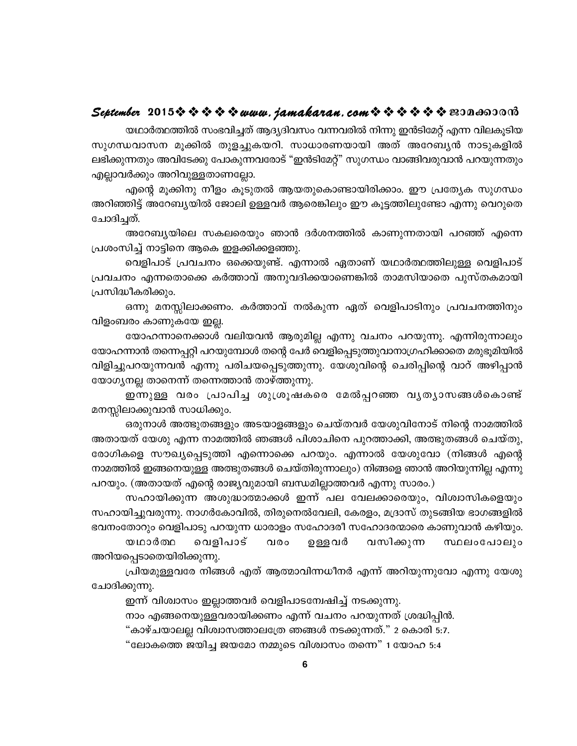യഥാർത്ഥത്തിൽ സംഭവിച്ചത് ആദ്യദിവസം വന്നവരിൽ നിന്നു ഇൻടിമേറ്റ് എന്ന വിലകുടിയ സുഗന്ധവാസന മൂക്കിൽ തുളച്ചുകയറി. സാധാരണയായി അത് അറേബ്യൻ നാടുകളിൽ ലഭിക്കുന്നതും അവിടേക്കു പോകുന്നവരോട് "ഇൻടിമേറ്റ്" സുഗന്ധം വാങ്ങിവരുവാൻ പറയുന്നതും എല്ലാവർക്കും അറിവുള്ളതാണല്ലോ.

എന്റെ മൂക്കിനു നീളം കൂടുതൽ ആയതുകൊണ്ടായിരിക്കാം. ഈ പ്രത്യേക സുഗന്ധം അറിഞ്ഞിട്ട് അറേബ്യയിൽ ജോലി ഉള്ളവർ ആരെങ്കിലും ഈ കൂട്ടത്തിലുണ്ടോ എന്നു വെറുതെ ചോദിച്ചത്.

അറേബ്യയിലെ സകലരെയും ഞാൻ ദർശനത്തിൽ കാണുന്നതായി പറഞ്ഞ് എന്നെ പ്രശംസിച്ച് നാട്ടിനെ ആകെ ഇളക്കിക്കളഞ്ഞു.

വെളിപാട് പ്രവചനം ഒക്കെയുണ്ട്. എന്നാൽ ഏതാണ് യഥാർത്ഥത്തിലുള്ള വെളിപാട് പ്രവചനം എന്നതൊക്കെ കർത്താവ് അനുവദിക്കയാണെങ്കിൽ താമസിയാതെ പുസ്തകമായി പ്രസിദ്ധീകരിക്കും.

ഒന്നു മനസ്സിലാക്കണം. കർത്താവ് നൽകുന്ന ഏത് വെളിപാടിനും പ്രവചനത്തിനും വിളംബരം കാണുകയേ ഇല്ല.

യോഹന്നാനെക്കാൾ വലിയവൻ ആരുമില്ല എന്നു വചനം പറയുന്നു. എന്നിരുന്നാലും യോഹന്നാൻ തന്നെപ്പറ്റി പറയുമ്പോൾ തന്റെ പേർ വെളിപ്പെടുത്തുവാനാഗ്രഹിക്കാതെ മരുഭൂമിയിൽ വിളിച്ചുപറയുന്നവൻ എന്നു പരിചയപ്പെടുത്തുന്നു. യേശുവിന്റെ ചെരിപ്പിന്റെ വാറ് അഴിപ്പാൻ യോഗ്യനല്ല താനെന്ന് തന്നെത്താൻ താഴ്ത്തുന്നു.

ഇന്നുള്ള വരം പ്രാപിച്ച ശുശ്രൂഷകരെ മേൽപ്പറഞ്ഞ വൃത്യാസങ്ങൾകൊണ്ട് മനസ്സിലാക്കുവാൻ സാധിക്കും.

ഒരുനാൾ അത്ഭുതങ്ങളും അടയാളങ്ങളും ചെയ്തവർ യേശുവിനോട് നിന്റെ നാമത്തിൽ അതായത് യേശു എന്ന നാമത്തിൽ ഞങ്ങൾ പിശാചിനെ പുറത്താക്കി, അത്ഭുതങ്ങൾ ചെയ്തു, രോഗികളെ സൗഖ്യപ്പെടുത്തി എന്നൊക്കെ പറയും. എന്നാൽ യേശുവോ (നിങ്ങൾ എന്റെ നാമത്തിൽ ഇങ്ങനെയുള്ള അത്ഭുതങ്ങൾ ചെയ്തിരുന്നാലും) നിങ്ങളെ ഞാൻ അറിയുന്നില്ല എന്നു പറയും. (അതായത് എന്റെ രാജ്യവുമായി ബന്ധമില്ലാത്തവർ എന്നു സാരം.)

സഹായിക്കുന്ന അശുദ്ധാത്മാക്കൾ ഇന്ന് പല വേലക്കാരെയും, വിശ്വാസികളെയും സഹായിച്ചുവരുന്നു. നാഗർകോവിൽ, തിരുനെൽവേലി, കേരളം, മദ്രാസ് തുടങ്ങിയ ഭാഗങ്ങളിൽ ഭവനംതോറും വെളിപാടു പറയുന്ന ധാരാളം സഹോദരീ സഹോദരന്മാരെ കാണുവാൻ കഴിയും.

വെളിപാട് യഥാർത്ഥ വരം ഉള്ളവർ വസിക്കുന്ന സ്ഥലംപോലും അറിയപ്പെടാതെയിരിക്കുന്നു.

പ്രിയമുള്ളവരേ നിങ്ങൾ എത് ആത്മാവിന്നധീനർ എന്ന് അറിയുന്നുവോ എന്നു യേശു ചോദിക്കുന്നു.

ഇന്ന് വിശ്വാസം ഇല്ലാത്തവർ വെളിപാടമ്പേഷിച്ച് നടക്കുന്നു.

നാം എങ്ങനെയുള്ളവരായിക്കണം എന്ന് വചനം പറയുന്നത് ശ്രദ്ധിപ്പിൻ.

"കാഴ്ചയാലല്ല വിശ്വാസത്താലത്രേ ഞങ്ങൾ നടക്കുന്നത്." 2 കൊരി 5:7.

"ലോകത്തെ ജയിച്ച ജയമോ നമ്മുടെ വിശ്വാസം തന്നെ" 1 യോഹ 5:4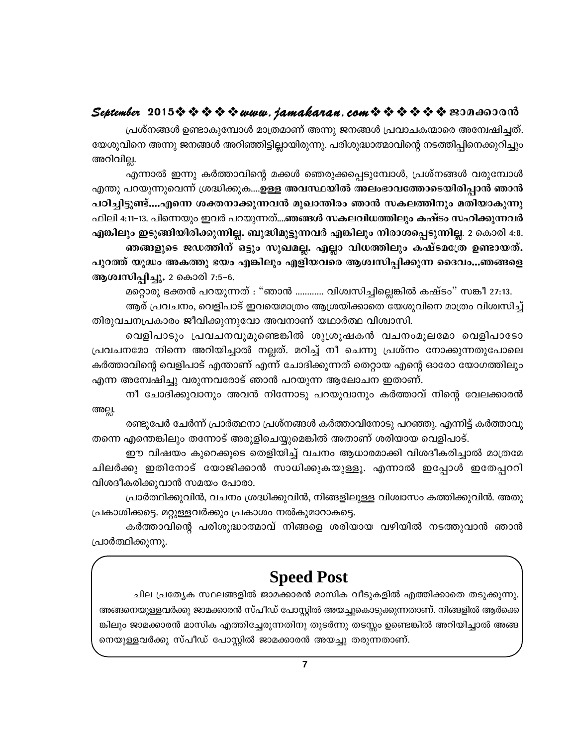പ്രശ്നങ്ങൾ ഉണ്ടാകുമ്പോൾ മാത്രമാണ് അന്നു ജനങ്ങൾ പ്രവാചകന്മാരെ അമ്പേഷിച്ചത്. യേശുവിനെ അന്നു ജനങ്ങൾ അറിഞ്ഞിട്ടില്ലായിരുന്നു. പരിശുദ്ധാത്മാവിന്റെ നടത്തിപ്പിനെക്കുറിച്ചും അറിവില്ല.

എന്നാൽ ഇന്നു കർത്താവിന്റെ മക്കൾ ഞെരുക്കപ്പെടുമ്പോൾ, പ്രശ്നങ്ങൾ വരുമ്പോൾ എന്തു പറയുന്നുവെന്ന് ശ്രദ്ധിക്കുക....ഉള്ള അവസ്ഥയിൽ അലംഭാവത്തോടെയിരിപ്പാൻ ഞാൻ പഠിച്ചിട്ടുണ്ട്....എന്നെ ശക്തനാക്കുന്നവൻ മുഖാന്തിരം ഞാൻ സകലത്തിനും മതിയാകുന്നു ഫിലി 4:11-13. പിന്നെയും ഇവർ പറയുന്നത്....ഞങ്ങൾ സകലവിധത്തിലും കഷ്ടം സഹിക്കുന്നവർ എങ്കിലും ഇടുങ്ങിയിരിക്കുന്നില്ല. ബുദ്ധിമുട്ടുന്നവർ എങ്കിലും നിരാശപ്പെടുന്നില്ല. 2 കൊരി 4:8. ഞങ്ങളുടെ ജഡത്തിന് ഒട്ടും സുഖമല്ല. എല്ലാ വിധത്തിലും കഷ്ടമത്രേ ഉണ്ടായത്. പുറത്ത് യുദ്ധം അകത്തു ഭയം എങ്കിലും എളിയവരെ ആശ്വസിപ്പിക്കുന്ന ദൈവം...ഞങ്ങളെ ആശ്വസിപ്പിച്ചു. 2 കൊരി 7:5-6.

മറ്റൊരു ഭക്തൻ പറയുന്നത് : "ഞാൻ ............ വിശ്വസിച്ചില്ലെങ്കിൽ കഷ്ടം" സങ്കീ 27:13. ആര് പ്രവചനം, വെളിപാട് ഇവയെമാത്രം ആശ്രയിക്കാതെ യേശുവിനെ മാത്രം വിശ്വസിച്ച് തിരുവചനപ്രകാരം ജീവിക്കുന്നുവോ അവനാണ് യഥാർത്ഥ വിശ്വാസി.

വെളിപാടും പ്രവചനവുമുണ്ടെങ്കിൽ ശുശ്രൂഷകൻ വചനംമൂലമോ വെളിപാടോ പ്രവചനമോ നിന്നെ അറിയിച്ചാൽ നല്ലത്. മറിച്ച് നീ ചെന്നു പ്രശ്നം നോക്കുന്നതുപോലെ കർത്താവിന്റെ വെളിപാട് എന്താണ് എന്ന് ചോദിക്കുന്നത് തെറ്റായ എന്റെ ഓരോ യോഗത്തിലും എന്ന അന്വേഷിച്ചു വരുന്നവരോട് ഞാൻ പറയുന്ന ആലോചന ഇതാണ്.

നീ ചോദിക്കുവാനും അവൻ നിന്നോടു പറയുവാനും കർത്താവ് നിന്റെ വേലക്കാരൻ അല്ല.

രണ്ടുപേർ ചേർന്ന് പ്രാർത്ഥനാ പ്രശ്നങ്ങൾ കർത്താവിനോടു പറഞ്ഞു. എന്നിട്ട് കർത്താവു തന്നെ എന്തെങ്കിലും തന്നോട് അരുളിചെയ്യുമെങ്കിൽ അതാണ് ശരിയായ വെളിപാട്.

ഈ വിഷയം കുറെക്കുടെ തെളിയിച്ച് വചനം ആധാരമാക്കി വിശദീകരിച്ചാൽ മാത്രമേ ചിലർക്കു ഇതിനോട് യോജിക്കാൻ സാധിക്കുകയുള്ളൂ. എന്നാൽ ഇപ്പോൾ ഇതേപ്പററി വിശദീകരിക്കുവാൻ സമയം പോരാ.

പ്രാർത്ഥിക്കുവിൻ, വചനം ശ്രദ്ധിക്കുവിൻ, നിങ്ങളിലുള്ള വിശ്വാസം കത്തിക്കുവിൻ. അതു പ്രകാശിക്കട്ടെ. മറ്റുള്ളവർക്കും പ്രകാശം നൽകുമാറാകട്ടെ.

കർത്താവിന്റെ പരിശുദ്ധാത്മാവ് നിങ്ങളെ ശരിയായ വഴിയിൽ നടത്തുവാൻ ഞാൻ പ്രാർത്ഥിക്കുന്നു.

## **Speed Post**

ചില പ്രത്യേക സ്ഥലങ്ങളിൽ ജാമക്കാരൻ മാസിക വീടുകളിൽ എത്തിക്കാതെ തടുക്കുന്നു. അങ്ങനെയുള്ളവർക്കു ജാമക്കാരൻ സ്പീഡ് പോസ്റ്റിൽ അയച്ചുകൊടുക്കുന്നതാണ്. നിങ്ങളിൽ ആർക്കെ ങ്കിലും ജാമക്കാരൻ മാസിക എത്തിച്ചേരുന്നതിനു തുടർന്നു തടസ്സം ഉണ്ടെങ്കിൽ അറിയിച്ചാൽ അങ്ങ നെയുള്ളവർക്കു സ്പീഡ് പോസ്റ്റിൽ ജാമക്കാരൻ അയച്ചു തരുന്നതാണ്.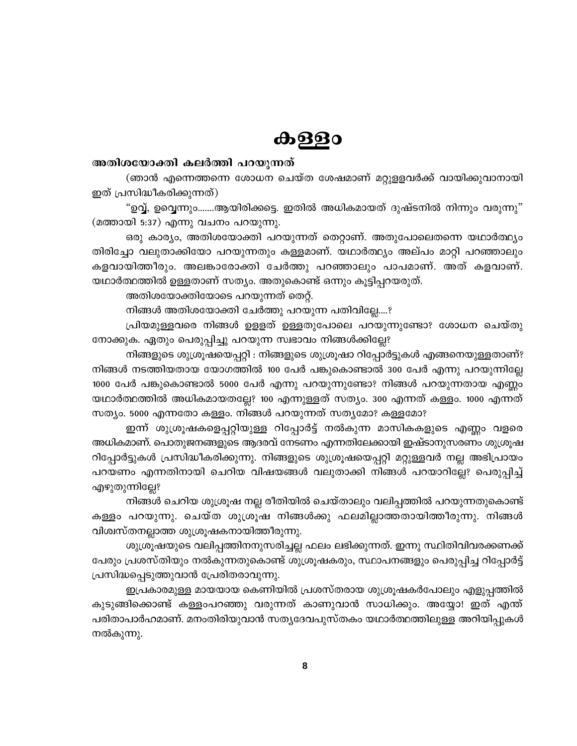## <u>കള്ള</u>ം

#### അതിശയോക്തി കലർത്തി പറയുന്നത്

(ഞാൻ എന്നെത്തന്നെ ശോധന ചെയ്ത ശേഷമാണ് മറ്റുളളവർക്ക് വായിക്കുവാനായി ഇത് പ്രസിദ്ധീകരിക്കുന്നത്)

"ഉവ്വ്, ഉവ്വെന്നും.......ആയിരിക്കട്ടെ. ഇതിൽ അധികമായത് ദുഷ്ടനിൽ നിന്നും വരുന്നു" (മത്തായി 5:37) എന്നു വചനം പറയുന്നു.

ഒരു കാര്യം, അതിശയോക്തി പറയുന്നത് തെറ്റാണ്. അതുപോലെതന്നെ യഥാർത്ഥ്യം തിരിച്ചോ വലുതാക്കിയോ പറയുന്നതും കള്ളമാണ്. യഥാർത്ഥ്യം അല്പം മാറ്റി പറഞ്ഞാലും കളവായിത്തീരും. അലങ്കാരോക്തി ചേർത്തു പറഞ്ഞാലും പാപമാണ്. അത് കളവാണ്. യഥാർത്ഥത്തിൽ ഉള്ളതാണ് സത്യം. അതുകൊണ്ട് ഒന്നും കൂട്ടിപ്പറയരുത്.

അതിശയോക്തിയോടെ പറയുന്നത് തെറ്റ്.

നിങ്ങൾ അതിശയോക്തി ചേർത്തു പറയുന്ന പതിവില്ലേ….?

പ്രിയമുള്ളവരെ നിങ്ങൾ ഉളളത് ഉള്ളതുപോലെ പറയുന്നുണ്ടോ? ശോധന ചെയ്തു നോക്കുക. ഏതും പെരുപ്പിച്ചു പറയുന്ന സ്വഭാവം നിങ്ങൾക്കില്ലേ?

നിങ്ങളുടെ ശുശ്രൂഷയെപ്പറ്റി : നിങ്ങളുടെ ശുശ്രൂഷാ റിപ്പോർട്ടുകൾ എങ്ങനെയുള്ളതാണ്? നിങ്ങൾ നടത്തിയതായ യോഗത്തിൽ 100 പേർ പങ്കുകൊണ്ടാൽ 300 പേർ എന്നു പറയുന്നില്ലേ 1000 പേർ പങ്കുകൊണ്ടാൽ 5000 പേർ എന്നു പറയുന്നുണ്ടോ? നിങ്ങൾ പറയുന്നതായ എണ്ണം യഥാർത്ഥത്തിൽ അധികമായതല്ലേ? 100 എന്നുള്ളത് സത്യം. 300 എന്നത് കള്ളം. 1000 എന്നത് സത്യം. 5000 എന്നതോ കള്ളം. നിങ്ങൾ പറയുന്നത് സത്യമോ? കള്ളമോ?

ഇന്ന് ശുശ്രൂഷകളെപ്പറ്റിയുള്ള റിപ്പോർട്ട് നൽകുന്ന മാസികകളുടെ എണ്ണം വളരെ അധികമാണ്. പൊതുജനങ്ങളുടെ ആദരവ് നേടണം എന്നതിലേക്കായി ഇഷ്ടാനുസരണം ശുശ്രൂഷ റിപ്പോർട്ടുകൾ പ്രസിദ്ധീകരിക്കുന്നു. നിങ്ങളുടെ ശുശ്രൂഷയെപ്പറ്റി മറ്റുള്ളവർ നല്ല അഭിപ്രായം പറയണം എന്നതിനായി ചെറിയ വിഷയങ്ങൾ വലുതാക്കി നിങ്ങൾ പറയാറില്ലേ? പെരുപ്പിച്ച് എഴുതുന്നില്ലേ?

നിങ്ങൾ ചെറിയ ശുശ്രൂഷ നല്ല രീതിയിൽ ചെയ്താലും വലിപ്പത്തിൽ പറയുന്നതുകൊണ്ട് കള്ളം പറയുന്നു. ചെയ്ത ശുശ്രൂഷ നിങ്ങൾക്കു ഫലമില്ലാത്തതായിത്തീരുന്നു. നിങ്ങൾ വിശ്വസ്തനല്ലാത്ത ശുശ്രൂഷകനായിത്തീരുന്നു.

ശുശ്രൂഷയുടെ വലിപ്പത്തിനനുസരിച്ചല്ല ഫലം ലഭിക്കുന്നത്. ഇന്നു സ്ഥിതിവിവരക്കണക്ക് പേരും പ്രശസ്തിയും നൽകുന്നതുകൊണ്ട് ശുശ്രൂഷകരും, സ്ഥാപനങ്ങളും പെരുപ്പിച്ച റിപ്പോർട്ട് പ്രസിദ്ധപ്പെടുത്തുവാൻ പ്രേരിതരാവുന്നു.

ഇപ്രകാരമുള്ള മായയായ കെണിയിൽ പ്രശസ്തരായ ശുശ്രൂഷകർപോലും എളുപ്പത്തിൽ കുടുങ്ങിക്കൊണ്ട് കള്ളംപറഞ്ഞു വരുന്നത് കാണുവാൻ സാധിക്കും. അയ്യോ! ഇത് എന്ത് പരിതാപാർഹമാണ്. മനംതിരിയുവാൻ സത്യദേവപുസ്തകം യഥാർത്ഥത്തിലുള്ള അറിയിപ്പുകൾ നൽകുന്നു.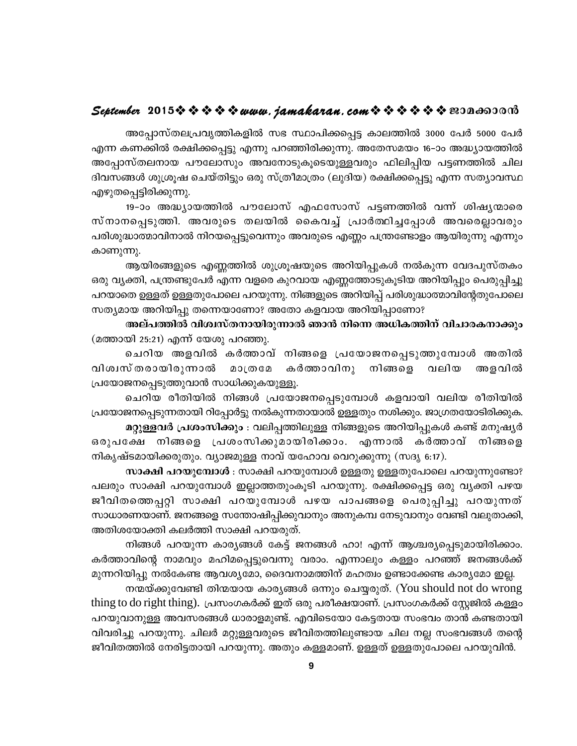അപ്പോസ്തലപ്രവൃത്തികളിൽ സഭ സ്ഥാപിക്കപ്പെട്ട കാലത്തിൽ 3000 പേർ 5000 പേർ എന്ന കണക്കിൽ രക്ഷിക്കപ്പെട്ടു എന്നു പറഞ്ഞിരിക്കുന്നു. അതേസമയം 16–ാം അദ്ധ്യായത്തിൽ അപ്പോസ്തലനായ പൗലോസും അവനോടുകൂടെയുള്ളവരും ഫിലിപ്പിയ പട്ടണത്തിൽ ചില ദിവസങ്ങൾ ശുശ്രൂഷ ചെയ്തിട്ടും ഒരു സ്ത്രീമാത്രം (ലുദിയ) രക്ഷിക്കപ്പെട്ടു എന്ന സത്യാവസ്ഥ എഴുതപ്പെട്ടിരിക്കുന്നു.

19-ാം അദ്ധ്യായത്തിൽ പൗലോസ് എഫസോസ് പട്ടണത്തിൽ വന്ന് ശിഷ്യന്മാരെ സ്നാനപ്പെടുത്തി. അവരുടെ തലയിൽ കൈവച്ച് പ്രാർത്ഥിച്ചപ്പോൾ അവരെല്ലാവരും പരിശുദ്ധാത്മാവിനാൽ നിറയപ്പെട്ടുവെന്നും അവരുടെ എണ്ണം പന്ത്രണ്ടോളം ആയിരുന്നു എന്നും കാണുന്നു.

ആയിരങ്ങളുടെ എണ്ണത്തിൽ ശുശ്രൂഷയുടെ അറിയിപ്പുകൾ നൽകുന്ന വേദപുസ്തകം ഒരു വ്യക്തി, പന്ത്രണ്ടുപേർ എന്ന വളരെ കുറവായ എണ്ണത്തോടുകൂടിയ അറിയിപ്പും പെരുപ്പിച്ചു പറയാതെ ഉള്ളത് ഉള്ളതുപോലെ പറയുന്നു. നിങ്ങളുടെ അറിയിപ്പ് പരിശുദ്ധാത്മാവിന്റേതുപോലെ സത്യമായ അറിയിപ്പു തന്നെയാണോ? അതോ കളവായ അറിയിപ്പാണോ?

അല്പത്തിൽ വിശ്വസ്തനായിരുന്നാൽ ഞാൻ നിന്നെ അധികത്തിന് വിചാരകനാക്കും (മത്തായി 25:21) എന്ന് യേശു പറഞ്ഞു.

ചെറിയ അളവിൽ കർത്താവ് നിങ്ങളെ പ്രയോജനപ്പെടുത്തുമ്പോൾ അതിൽ വിശ്വസ് തരായിരുന്നാൽ കർത്താവിനു നിങ്ങളെ വലിയ **200002** അളവിൽ പ്രയോജനപ്പെടുത്തുവാൻ സാധിക്കുകയുള്ളൂ.

ചെറിയ രീതിയിൽ നിങ്ങൾ പ്രയോജനപ്പെടുമ്പോൾ കളവായി വലിയ രീതിയിൽ പ്രയോജനപ്പെടുന്നതായി റിപ്പോർട്ടു നൽകുന്നതായാൽ ഉള്ളതും നശിക്കും. ജാഗ്രതയോടിരിക്കുക.

മറ്റുള്ളവർ പ്രശംസിക്കും : വലിപ്പത്തിലുള്ള നിങ്ങളുടെ അറിയിപ്പുകൾ കണ്ട് മനുഷ്യർ ഒരുപക്ഷേ നിങ്ങളെ പ്രശംസിക്കുമായിരിക്കാം. എന്നാൽ കർത്താവ് നിങ്ങളെ നികൃഷ്ടമായിക്കരുതും. വ്യാജമുള്ള നാവ് യഹോവ വെറുക്കുന്നു (സദൃ 6:17).

സാക്ഷി പറയുമ്പോൾ : സാക്ഷി പറയുമ്പോൾ ഉള്ളതു ഉള്ളതുപോലെ പറയുന്നുണ്ടോ? പലരും സാക്ഷി പറയുമ്പോൾ ഇല്ലാത്തതുംകൂടി പറയുന്നു. രക്ഷിക്കപ്പെട്ട ഒരു വൃക്തി പഴയ ജീവിതത്തെപ്പറ്റി സാക്ഷി പറയുമ്പോൾ പഴയ പാപങ്ങളെ പെരുപ്പിച്ചു പറയുന്നത് സാധാരണയാണ്. ജനങ്ങളെ സന്തോഷിപ്പിക്കുവാനും അനുകമ്പ നേടുവാനും വേണ്ടി വലുതാക്കി, അതിശയോക്തി കലർത്തി സാക്ഷി പറയരുത്.

നിങ്ങൾ പറയുന്ന കാര്യങ്ങൾ കേട്ട് ജനങ്ങൾ ഹാ! എന്ന് ആശ്ചര്യപ്പെടുമായിരിക്കാം. കർത്താവിന്റെ നാമവും മഹിമപ്പെട്ടുവെന്നു വരാം. എന്നാലും കള്ളം പറഞ്ഞ് ജനങ്ങൾക്ക് മുന്നറിയിപ്പു നൽകേണ്ട ആവശ്യമോ, ദൈവനാമത്തിന് മഹത്വം ഉണ്ടാക്കേണ്ട കാര്യമോ ഇല്ല.

നന്മയ്ക്കുവേണ്ടി തിന്മയായ കാര്യങ്ങൾ ഒന്നും ചെയ്യരുത്. (You should not do wrong thing to do right thing). പ്രസംഗകർക്ക് ഇത് ഒരു പരീക്ഷയാണ്. പ്രസംഗകർക്ക് സ്റ്റേജിൽ കള്ളം പറയുവാനുള്ള അവസരങ്ങൾ ധാരാളമുണ്ട്. എവിടെയോ കേട്ടതായ സംഭവം താൻ കണ്ടതായി വിവരിച്ചു പറയുന്നു. ചിലർ മറ്റുള്ളവരുടെ ജീവിതത്തിലുണ്ടായ ചില നല്ല സംഭവങ്ങൾ തന്റെ ജീവിതത്തിൽ നേരിട്ടതായി പറയുന്നു. അതും കള്ളമാണ്. ഉള്ളത് ഉള്ളതുപോലെ പറയുവിൻ.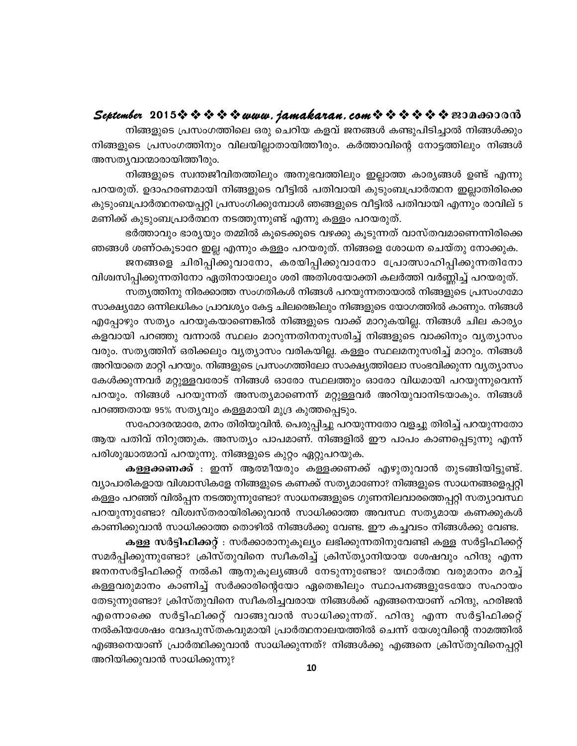നിങ്ങളുടെ പ്രസംഗത്തിലെ ഒരു ചെറിയ കളവ് ജനങ്ങൾ കണ്ടുപിടിച്ചാൽ നിങ്ങൾക്കും നിങ്ങളുടെ പ്രസംഗത്തിനും വിലയില്ലാതായിത്തീരും. കർത്താവിന്റെ നോട്ടത്തിലും നിങ്ങൾ അസത്യവാന്മാരായിത്തീരും.

നിങ്ങളുടെ സ്വന്തജീവിതത്തിലും അനുഭവത്തിലും ഇല്ലാത്ത കാര്യങ്ങൾ ഉണ്ട് എന്നു പറയരുത്. ഉദാഹരണമായി നിങ്ങളുടെ വീട്ടിൽ പതിവായി കുടുംബപ്രാർത്ഥന ഇല്ലാതിരിക്കെ കുടുംബപ്രാർത്ഥനയെപ്പറ്റി പ്രസംഗിക്കുമ്പോൾ ഞങ്ങളുടെ വീട്ടിൽ പതിവായി എന്നും രാവില് 5 മണിക്ക് കുടുംബപ്രാർത്ഥന നടത്തുന്നുണ്ട് എന്നു കള്ളം പറയരുത്.

ഭർത്താവും ഭാര്യയും തമ്മിൽ കൂടെക്കൂടെ വഴക്കു കൂടുന്നത് വാസ്തവമാണെന്നിരിക്കെ ഞങ്ങൾ ശണ്ഠകൂടാറേ ഇല്ല എന്നും കള്ളം പറയരുത്. നിങ്ങളെ ശോധന ചെയ്തു നോക്കുക.

ജനങ്ങളെ ചിരിപ്പിക്കുവാനോ, കരയിപ്പിക്കുവാനോ പ്രോത്സാഹിപ്പിക്കുന്നതിനോ വിശ്വസിപ്പിക്കുന്നതിനോ ഏതിനായാലും ശരി അതിശയോക്തി കലർത്തി വർണ്ണിച്ച് പറയരുത്.

സത്യത്തിനു നിരക്കാത്ത സംഗതികൾ നിങ്ങൾ പറയുന്നതായാൽ നിങ്ങളുടെ പ്രസംഗമോ സാക്ഷ്യമോ ഒന്നിലധികം പ്രാവശ്യം കേട്ട ചിലരെങ്കിലും നിങ്ങളുടെ യോഗത്തിൽ കാണും. നിങ്ങൾ എപ്പോഴും സത്യം പറയുകയാണെങ്കിൽ നിങ്ങളുടെ വാക്ക് മാറുകയില്ല. നിങ്ങൾ ചില കാര്യം കളവായി പറഞ്ഞു വന്നാൽ സ്ഥലം മാറുന്നതിനനുസരിച്ച് നിങ്ങളുടെ വാക്കിനും വൃത്യാസം വരും. സതൃത്തിന് ഒരിക്കലും വൃത്യാസം വരികയില്ല. കള്ളം സ്ഥലമനുസരിച്ച് മാറും. നിങ്ങൾ അറിയാതെ മാറ്റി പറയും. നിങ്ങളുടെ പ്രസംഗത്തിലോ സാക്ഷ്യത്തിലോ സംഭവിക്കുന്ന വൃത്യാസം കേൾക്കുന്നവർ മറ്റുള്ളവരോട് നിങ്ങൾ ഓരോ സ്ഥലത്തും ഓരോ വിധമായി പറയുന്നുവെന്ന് പറയും. നിങ്ങൾ പറയുന്നത് അസത്യമാണെന്ന് മറ്റുള്ളവർ അറിയുവാനിടയാകും. നിങ്ങൾ പറഞ്ഞതായ 95% സത്യവും കള്ളമായി മുദ്ര കുത്തപ്പെടും.

സഹോദരന്മാരേ, മനം തിരിയുവിൻ. പെരുപ്പിച്ചു പറയുന്നതോ വളച്ചു തിരിച്ച് പറയുന്നതോ ആയ പതിവ് നിറുത്തുക. അസത്യം പാപമാണ്. നിങ്ങളിൽ ഈ പാപം കാണപ്പെടുന്നു എന്ന് പരിശുദ്ധാത്മാവ് പറയുന്നു. നിങ്ങളുടെ കുറ്റം ഏറ്റുപറയുക.

**കള്ളക്കണക്ക്** : ഇന്ന് ആത്മീയരും കള്ളക്കണക്ക് എഴുതുവാൻ തുടങ്ങിയിട്ടുണ്ട്. വ്യാപാരികളായ വിശ്വാസികളേ നിങ്ങളുടെ കണക്ക് സത്യമാണോ? നിങ്ങളുടെ സാധനങ്ങളെപ്പറ്റി കള്ളം പറഞ്ഞ് വിൽപ്പന നടത്തുന്നുണ്ടോ? സാധനങ്ങളുടെ ഗുണനിലവാരത്തെപ്പറ്റി സത്യാവസ്ഥ പറയുന്നുണ്ടോ? വിശ്വസ്തരായിരിക്കുവാൻ സാധിക്കാത്ത അവസ്ഥ സത്യമായ കണക്കുകൾ കാണിക്കുവാൻ സാധിക്കാത്ത തൊഴിൽ നിങ്ങൾക്കു വേണ്ട. ഈ കച്ചവടം നിങ്ങൾക്കു വേണ്ട.

കള്ള സർട്ടിഫിക്കറ്റ് : സർക്കാരാനുകൂല്യം ലഭിക്കുന്നതിനുവേണ്ടി കള്ള സർട്ടിഫിക്കറ്റ് സമർപ്പിക്കുന്നുണ്ടോ? ക്രിസ്തുവിനെ സ്വീകരിച്ച് ക്രിസ്ത്യാനിയായ ശേഷവും ഹിന്ദു എന്ന ജനനസർട്ടിഫിക്കറ്റ് നൽകി ആനുകൂല്യങ്ങൾ നേടുന്നുണ്ടോ? യഥാർത്ഥ വരുമാനം മറച്ച് കള്ളവരുമാനം കാണിച്ച് സർക്കാരിന്റെയോ ഏതെങ്കിലും സ്ഥാപനങ്ങളുടേയോ സഹായം തേടുന്നുണ്ടോ? ക്രിസ്തുവിനെ സ്വീകരിച്ചവരായ നിങ്ങൾക്ക് എങ്ങനെയാണ് ഹിന്ദു, ഹരിജൻ എന്നൊക്കെ സർട്ടിഫിക്കറ്റ് വാങ്ങുവാൻ സാധിക്കുന്നത്. ഹിന്ദു എന്ന സർട്ടിഫിക്കറ്റ് നൽകിയശേഷം വേദപുസ്തകവുമായി പ്രാർത്ഥനാലയത്തിൽ ചെന്ന് യേശുവിന്റെ നാമത്തിൽ എങ്ങനെയാണ് പ്രാർത്ഥിക്കുവാൻ സാധിക്കുന്നത്? നിങ്ങൾക്കു എങ്ങനെ ക്രിസ്തുവിനെപ്പറ്റി അറിയിക്കുവാൻ സാധിക്കുന്നു?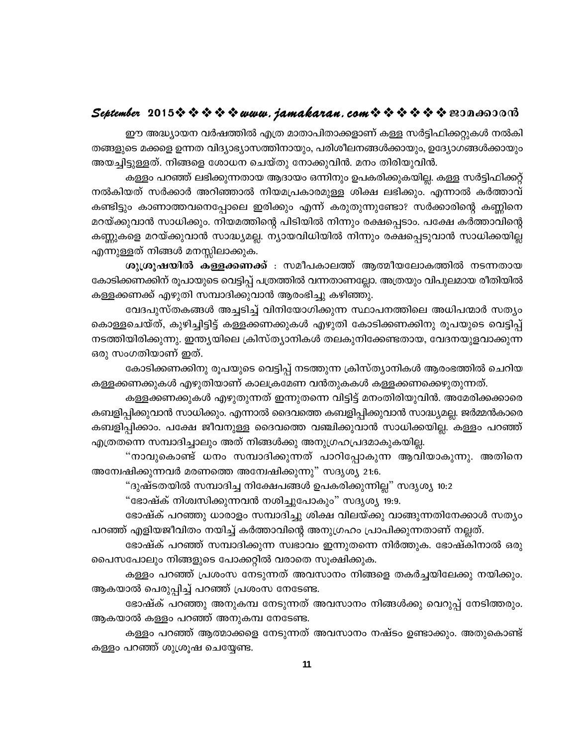#### 

ഈ അദ്ധ്യായന വർഷത്തിൽ എത്ര മാതാപിതാക്കളാണ് കള്ള സർട്ടിഫിക്കറ്റുകൾ നൽകി തങ്ങളുടെ മക്കളെ ഉന്നത വിദ്യാഭ്യാസത്തിനായും, പരിശീലനങ്ങൾക്കായും, ഉദ്യോഗങ്ങൾക്കായും അയച്ചിട്ടുള്ളത്. നിങ്ങളെ ശോധന ചെയ്തു നോക്കുവിൻ. മനം തിരിയുവിൻ.

കള്ളം പറഞ്ഞ് ലഭിക്കുന്നതായ ആദായം ഒന്നിനും ഉപകരിക്കുകയില്ല. കള്ള സർട്ടിഫിക്കറ്റ് നൽകിയത് സർക്കാർ അറിഞ്ഞാൽ നിയമപ്രകാരമുള്ള ശിക്ഷ ലഭിക്കും. എന്നാൽ കർത്താവ് കണ്ടിട്ടും കാണാത്തവനെപ്പോലെ ഇരിക്കും എന്ന് കരുതുന്നുണ്ടോ? സർക്കാരിന്റെ കണ്ണിനെ മറയ്ക്കുവാൻ സാധിക്കും. നിയമത്തിന്റെ പിടിയിൽ നിന്നും രക്ഷപ്പെടാം. പക്ഷേ കർത്താവിന്റെ കണ്ണുകളെ മറയ്ക്കുവാൻ സാദ്ധ്യമല്ല. ന്യായവിധിയിൽ നിന്നും രക്ഷപ്പെടുവാൻ സാധിക്കയില്ല എന്നുള്ളത് നിങ്ങൾ മനസ്സിലാക്കുക.

ശുശ്രൂഷയിൽ കള്ളക്കണക്ക് : സമീപകാലത്ത് ആത്മീയലോകത്തിൽ നടന്നതായ കോടിക്കണക്കിന് രൂപായുടെ വെട്ടിപ്പ് പത്രത്തിൽ വന്നതാണല്ലോ. അത്രയും വിപുലമായ രീതിയിൽ കള്ളക്കണക്ക് എഴുതി സമ്പാദിക്കുവാൻ ആരംഭിച്ചു കഴിഞ്ഞു.

വേദപുസ്തകങ്ങൾ അച്ചടിച്ച് വിനിയോഗിക്കുന്ന സ്ഥാപനത്തിലെ അധിപന്മാർ സത്യം കൊള്ളചെയ്ത്, കുഴിച്ചിട്ടിട്ട് കള്ളക്കണക്കുകൾ എഴുതി കോടിക്കണക്കിനു രൂപയുടെ വെട്ടിപ്പ് നടത്തിയിരിക്കുന്നു. ഇന്ത്യയിലെ ക്രിസ്ത്യാനികൾ തലകുനിക്കേണ്ടതായ, വേദനയുളവാക്കുന്ന ഒരു സംഗതിയാണ് ഇത്.

കോടിക്കണക്കിനു രൂപയുടെ വെട്ടിപ്പ് നടത്തുന്ന ക്രിസ്ത്യാനികൾ ആരംഭത്തിൽ ചെറിയ കള്ളക്കണക്കുകൾ എഴുതിയാണ് കാലക്രമേണ വൻതുകകൾ കള്ളക്കണക്കെഴുതുന്നത്.

കള്ളക്കണക്കുകൾ എഴുതുന്നത് ഇന്നുതന്നെ വിട്ടിട്ട് മനംതിരിയുവിൻ. അമേരിക്കക്കാരെ കബളിപ്പിക്കുവാൻ സാധിക്കും. എന്നാൽ ദൈവത്തെ കബളിപ്പിക്കുവാൻ സാദ്ധ്യമല്ല. ജർമ്മൻകാരെ കബളിപ്പിക്കാം. പക്ഷേ ജീവനുള്ള ദൈവത്തെ വഞ്ചിക്കുവാൻ സാധിക്കയില്ല. കള്ളം പറഞ്ഞ് എത്രതന്നെ സമ്പാദിച്ചാലും അത് നിങ്ങൾക്കു അനുഗ്രഹപ്രദമാകുകയില്ല.

"നാവുകൊണ്ട് ധനം സമ്പാദിക്കുന്നത് പാറിപ്പോകുന്ന ആവിയാകുന്നു. അതിനെ അന്വേഷിക്കുന്നവർ മരണത്തെ അന്വേഷിക്കുന്നു" സദൃശ്യ 21:6.

"ദുഷ്ടതയിൽ സമ്പാദിച്ച നിക്ഷേപങ്ങൾ ഉപകരിക്കുന്നില്ല" സദൃശ്യ 10:2

"ഭോഷ്ക് നിശ്വസിക്കുന്നവൻ നശിച്ചുപോകും" സദൃശ്യ 19:9.

ഭോഷ്ക് പറഞ്ഞു ധാരാളം സമ്പാദിച്ചു ശിക്ഷ വിലയ്ക്കു വാങ്ങുന്നതിനേക്കാൾ സത്യം പറഞ്ഞ് എളിയജീവിതം നയിച്ച് കർത്താവിന്റെ അനുഗ്രഹം പ്രാപിക്കുന്നതാണ് നല്ലത്.

ഭോഷ്ക് പറഞ്ഞ് സമ്പാദിക്കുന്ന സ്വഭാവം ഇന്നുതന്നെ നിർത്തുക. ഭോഷ്കിനാൽ ഒരു പൈസപോലും നിങ്ങളുടെ പോക്കറ്റിൽ വരാതെ സൂക്ഷിക്കുക.

കള്ളം പറഞ്ഞ് പ്രശംസ നേടുന്നത് അവസാനം നിങ്ങളെ തകർച്ചയിലേക്കു നയിക്കും. ആകയാൽ പെരുപ്പിച്ച് പറഞ്ഞ് പ്രശംസ നേടേണ്ട.

ഭോഷ്ക് പറഞ്ഞു അനുകമ്പ നേടുന്നത് അവസാനം നിങ്ങൾക്കു വെറുപ്പ് നേടിത്തരും. ആകയാൽ കള്ളം പറഞ്ഞ് അനുകമ്പ നേടേണ്ട.

കള്ളം പറഞ്ഞ് ആത്മാക്കളെ നേടുന്നത് അവസാനം നഷ്ടം ഉണ്ടാക്കും. അതുകൊണ്ട് കള്ളം പറഞ്ഞ് ശുശ്രൂഷ ചെയ്യേണ്ട.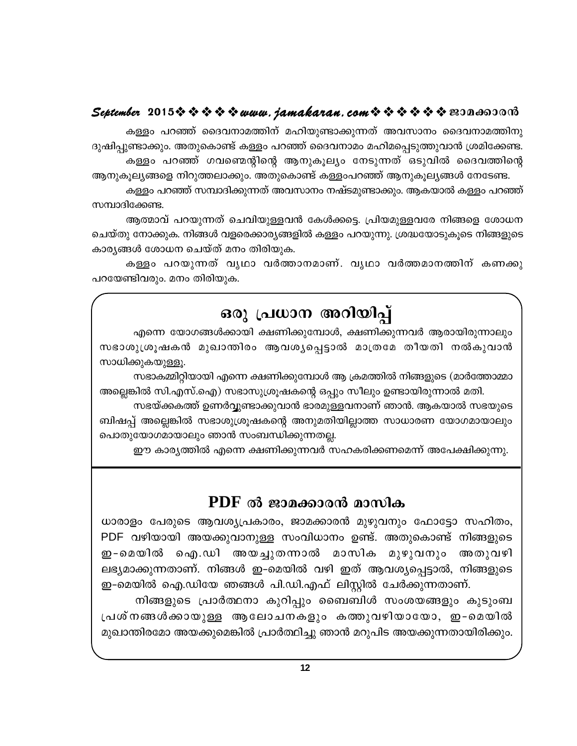കള്ളം പറഞ്ഞ് ദൈവനാമത്തിന് മഹിയുണ്ടാക്കുന്നത് അവസാനം ദൈവനാമത്തിനു ദുഷിപ്പുണ്ടാക്കും. അതുകൊണ്ട് കള്ളം പറഞ്ഞ് ദൈവനാമം മഹിമപ്പെടുത്തുവാൻ ശ്രമിക്കേണ്ട. കള്ളം പറഞ്ഞ് ഗവണ്മെന്റിന്റെ ആനുകൂല്യം നേടുന്നത് ഒടുവിൽ ദൈവത്തിന്റെ ആനുകൂല്യങ്ങളെ നിറുത്തലാക്കും. അതുകൊണ്ട് കള്ളംപറഞ്ഞ് ആനുകൂല്യങ്ങൾ നേടേണ്ട.

കള്ളം പറഞ്ഞ് സമ്പാദിക്കുന്നത് അവസാനം നഷ്ടമുണ്ടാക്കും. ആകയാൽ കള്ളം പറഞ്ഞ് സമ്പാദിക്കേണ്ട.

ആത്മാവ് പറയുന്നത് ചെവിയുള്ളവൻ കേൾക്കട്ടെ. പ്രിയമുള്ളവരേ നിങ്ങളെ ശോധന ചെയ്തു നോക്കുക. നിങ്ങൾ വളരെക്കാര്യങ്ങളിൽ കളളം പറയുന്നു. ശ്രദ്ധയോടുകുടെ നിങ്ങളുടെ കാര്യങ്ങൾ ശോധന ചെയ്ത് മനം തിരിയുക.

കള്ളം പറയുന്നത് വൃഥാ വർത്താനമാണ്. വൃഥാ വർത്തമാനത്തിന് കണക്കു പറയേണ്ടിവരും. മനം തിരിയുക.

## ഒരു പ്രധാന അറിയിപ്പ്

എന്നെ യോഗങ്ങൾക്കായി ക്ഷണിക്കുമ്പോൾ, ക്ഷണിക്കുന്നവർ ആരായിരുന്നാലും സഭാശുശ്രൂഷകൻ മുഖാന്തിരം ആവശ്യപ്പെട്ടാൽ മാത്രമേ തീയതി നൽകുവാൻ സാധിക്കുകയുള്ളൂ.

സഭാകമ്മിറ്റിയായി എന്നെ ക്ഷണിക്കുമ്പോൾ ആ ക്രമത്തിൽ നിങ്ങളുടെ (മാർത്തോമ്മാ അല്ലെങ്കിൽ സി.എസ്.ഐ) സഭാസുശ്രൂഷകന്റെ ഒപ്പും സീലും ഉണ്ടായിരുന്നാൽ മതി.

സഭയ്ക്കകത്ത് ഉണർവ്വുണ്ടാക്കുവാൻ ഭാരമുള്ളവനാണ് ഞാൻ. ആകയാൽ സഭയുടെ ബിഷപ്പ് അല്ലെങ്കിൽ സഭാശുശ്രൂഷകന്റെ അനുമതിയില്ലാത്ത സാധാരണ യോഗമായാലും പൊതുയോഗമായാലും ഞാൻ സംബന്ധിക്കുന്നതല്ല.

ഈ കാര്യത്തിൽ എന്നെ ക്ഷണിക്കുന്നവർ സഹകരിക്കണമെന്ന് അപേക്ഷിക്കുന്നു.

### $PDF$  ൽ ജാമക്കാരൻ മാസിക

ധാരാളം പേരുടെ ആവശ്യപ്രകാരം, ജാമക്കാരൻ മുഴുവനും ഫോട്ടോ സഹിതം, PDF വഴിയായി അയക്കുവാനുള്ള സംവിധാനം ഉണ്ട്. അതുകൊണ്ട് നിങ്ങളുടെ ഇ-മെയിൽ ഐ.ഡി അയച്ചുതന്നാൽ മാസിക മുഴുവനും അതുവഴി ലഭ്യമാക്കുന്നതാണ്. നിങ്ങൾ ഇ-മെയിൽ വഴി ഇത് ആവശ്യപ്പെട്ടാൽ, നിങ്ങളുടെ ഇ-മെയിൽ ഐ.ഡിയേ ഞങ്ങൾ പി.ഡി.എഫ് ലിസ്റ്റിൽ ചേർക്കുന്നതാണ്.

നിങ്ങളുടെ പ്രാർത്ഥനാ കുറിപ്പും ബൈബിൾ സംശയങ്ങളും കുടുംബ പ്രശ്നങ്ങൾക്കായുള്ള ആലോചനകളും കത്തുവഴിയായോ, ഇ-മെയിൽ മുഖാന്തിരമോ അയക്കുമെങ്കിൽ പ്രാർത്ഥിച്ചു ഞാൻ മറുപിട അയക്കുന്നതായിരിക്കും.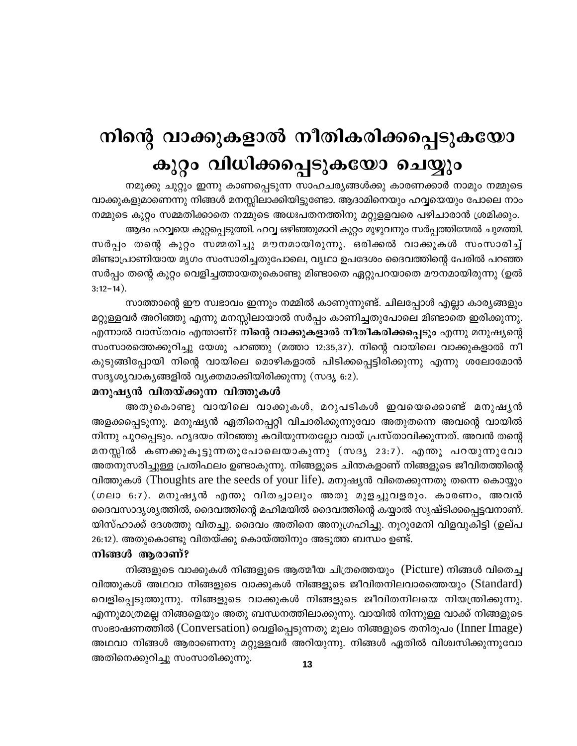## നിന്റെ വാക്കുകളാൽ നീതികരിക്കപ്പെടുകയോ കുറ്റം വിധിക്കപ്പെടുകയോ ചെയ്യും

നമുക്കു ചുറ്റും ഇന്നു കാണപ്പെടുന്ന സാഹചര്യങ്ങൾക്കു കാരണക്കാർ നാമും നമ്മുടെ വാക്കുകളുമാണെന്നു നിങ്ങൾ മനസ്സിലാക്കിയിട്ടുണ്ടോ. ആദാമിനെയും ഹവ്വയെയും പോലെ നാം നമ്മുടെ കുറ്റം സമ്മതിക്കാതെ നമ്മുടെ അധഃപതനത്തിനു മറ്റുളളവരെ പഴിചാരാൻ ശ്രമിക്കും.

ആദം ഹവ്വയെ കുറ്റപ്പെടുത്തി. ഹവ്വ ഒഴിഞ്ഞുമാറി കുറ്റം മുഴുവനും സർപ്പത്തിന്മേൽ ചുമത്തി. സർപ്പം തന്റെ കുറ്റം സമ്മതിച്ചു മൗനമായിരുന്നു. ഒരിക്കൽ വാക്കുകൾ സംസാരിച്ച് മിണ്ടാപ്രാണിയായ മൃഗം സംസാരിച്ചതുപോലെ, വൃഥാ ഉപദേശം ദൈവത്തിന്റെ പേരിൽ പറഞ്ഞ സർപ്പം തന്റെ കുറ്റം വെളിച്ചത്തായതുകൊണ്ടു മിണ്ടാതെ ഏറ്റുപറയാതെ മൗനമായിരുന്നു (ഉൽ  $3:12-14$ ).

സാത്താന്റെ ഈ സ്വഭാവം ഇന്നും നമ്മിൽ കാണുന്നുണ്ട്. ചിലപ്പോൾ എല്ലാ കാര്യങ്ങളും മറ്റുള്ളവർ അറിഞ്ഞു എന്നു മനസ്സിലായാൽ സർപ്പം കാണിച്ചതുപോലെ മിണ്ടാതെ ഇരിക്കുന്നു. എന്നാൽ വാസ്തവം എന്താണ്? <mark>നിന്റെ വാക്കുകളാൽ നീതീകരിക്കപ്പെടും</mark> എന്നു മനുഷ്യന്റെ സംസാരത്തെക്കുറിച്ചു യേശു പറഞ്ഞു (മത്താ 12:35,37). നിന്റെ വായിലെ വാക്കുകളാൽ നീ കുടുങ്ങിപ്പോയി നിന്റെ വായിലെ മൊഴികളാൽ പിടിക്കപ്പെട്ടിരിക്കുന്നു എന്നു ശലോമോൻ സദൃശൃവാകൃങ്ങളിൽ വൃക്തമാക്കിയിരിക്കുന്നു (സദൃ 6:2).

#### മനുഷൃൻ വിതയ്ക്കുന്ന വിത്തുകൾ

അതുകൊണ്ടു വായിലെ വാക്കുകൾ, മറുപടികൾ ഇവയെക്കൊണ്ട് മനുഷൃൻ അളക്കപ്പെടുന്നു. മനുഷ്യൻ ഏതിനെപ്പറ്റി വിചാരിക്കുന്നുവോ അതുതന്നെ അവന്റെ വായിൽ നിന്നു പുറപ്പെടും. ഹൃദയം നിറഞ്ഞു കവിയുന്നതല്ലോ വായ് പ്രസ്താവിക്കുന്നത്. അവൻ തന്റെ മനസ്സിൽ കണക്കുകൂട്ടുന്നതുപോലെയാകുന്നു (സദൃ 23:7). എന്തു പറയുന്നുവോ അതനുസരിച്ചുള്ള പ്രതിഫലം ഉണ്ടാകുന്നു. നിങ്ങളുടെ ചിന്തകളാണ് നിങ്ങളുടെ ജീവിതത്തിന്റെ വിത്തുകൾ (Thoughts are the seeds of your life). മനുഷ്യൻ വിതെക്കുന്നതു തന്നെ കൊയ്യും (ഗലാ 6:7). മനുഷൃൻ എന്തു വിതച്ചാലും അതു മുളച്ചുവളരും. കാരണം, അവൻ ദൈവസാദൃശ്യത്തിൽ, ദൈവത്തിന്റെ മഹിമയിൽ ദൈവത്തിന്റെ കയ്യാൽ സൃഷ്ടിക്കപ്പെട്ടവനാണ്. യിസ്ഹാക്ക് ദേശത്തു വിതച്ചു. ദൈവം അതിനെ അനുഗ്രഹിച്ചു. നൂറുമേനി വിളവുകിട്ടി (ഉല്പ 26:12). അതുകൊണ്ടു വിതയ്ക്കു കൊയ്ത്തിനും അടുത്ത ബന്ധം ഉണ്ട്.

#### നിങ്ങൾ ആരാണ്?

നിങ്ങളുടെ വാക്കുകൾ നിങ്ങളുടെ ആത്മീയ ചിത്രത്തെയും (Picture) നിങ്ങൾ വിതെച്ച വിത്തുകൾ അഥവാ നിങ്ങളുടെ വാക്കുകൾ നിങ്ങളുടെ ജീവിതനിലവാരത്തെയും (Standard) വെളിപ്പെടുത്തുന്നു. നിങ്ങളുടെ വാക്കുകൾ നിങ്ങളുടെ ജീവിതനിലയെ നിയന്ത്രിക്കുന്നു. എന്നുമാത്രമല്ല നിങ്ങളെയും അതു ബന്ധനത്തിലാക്കുന്നു. വായിൽ നിന്നുള്ള വാക്ക് നിങ്ങളുടെ സംഭാഷണത്തിൽ (Conversation) വെളിപ്പെടുന്നതു മൂലം നിങ്ങളുടെ തനിരൂപം (Inner Image) അഥവാ നിങ്ങൾ ആരാണെന്നു മറ്റുള്ളവർ അറിയുന്നു. നിങ്ങൾ ഏതിൽ വിശ്വസിക്കുന്നുവോ അതിനെക്കുറിച്ചു സംസാരിക്കുന്നു.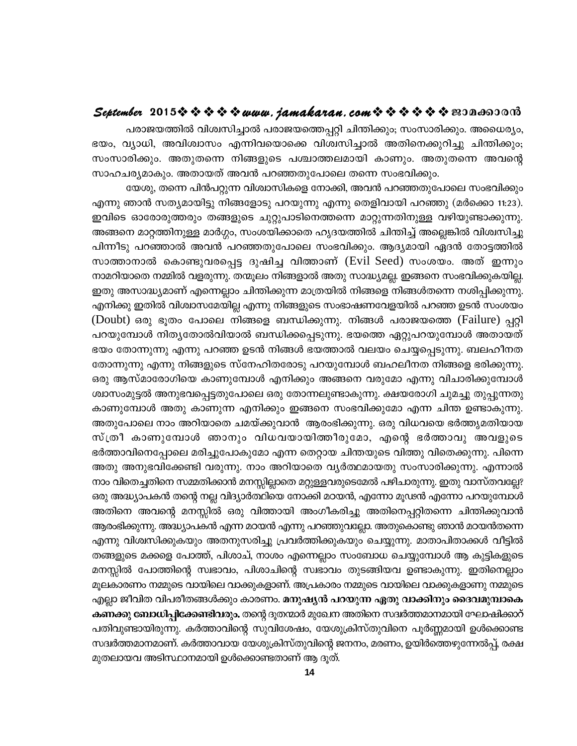#### 

പരാജയത്തിൽ വിശ്വസിച്ചാൽ പരാജയത്തെപ്പറ്റി ചിന്തിക്കും; സംസാരിക്കും. അധൈര്യം, ഭയം, വ്യാധി, അവിശ്വാസം എന്നിവയൊക്കെ വിശ്വസിച്ചാൽ അതിനെക്കുറിച്ചു ചിന്തിക്കും; സംസാരിക്കും. അതുതന്നെ നിങ്ങളുടെ പശ്ചാത്തലമായി കാണും. അതുതന്നെ അവന്റെ സാഹചര്യമാകും. അതായത് അവൻ പറഞ്ഞതുപോലെ തന്നെ സംഭവിക്കും.

യേശു, തന്നെ പിൻപറ്റുന്ന വിശ്വാസികളെ നോക്കി, അവൻ പറഞ്ഞതുപോലെ സംഭവിക്കും എന്നു ഞാൻ സത്യമായിട്ടു നിങ്ങളോടു പറയുന്നു എന്നു തെളിവായി പറഞ്ഞു (മർക്കൊ 11:23). ഇവിടെ ഓരോരുത്തരും തങ്ങളുടെ ചുറ്റുപാടിനെത്തന്നെ മാറ്റുന്നതിനുള്ള വഴിയുണ്ടാക്കുന്നു. അങ്ങനെ മാറ്റത്തിനുള്ള മാർഗ്ഗം, സംശയിക്കാതെ ഹൃദയത്തിൽ ചിന്തിച്ച് അല്ലെങ്കിൽ വിശ്വസിച്ചു പിന്നീടു പറഞ്ഞാൽ അവൻ പറഞ്ഞതുപോലെ സംഭവിക്കും. ആദ്യമായി ഏദൻ തോട്ടത്തിൽ സാത്താനാൽ കൊണ്ടുവരപ്പെട്ട ദുഷിച്ച വിത്താണ് (Evil Seed) സംശയം. അത് ഇന്നും നാമറിയാതെ നമ്മിൽ വളരുന്നു. തന്മൂലം നിങ്ങളാൽ അതു സാദ്ധ്യമല്ല. ഇങ്ങനെ സംഭവിക്കുകയില്ല. ഇതു അസാദ്ധ്യമാണ് എന്നെല്ലാം ചിന്തിക്കുന്ന മാത്രയിൽ നിങ്ങളെ നിങ്ങൾതന്നെ നശിപ്പിക്കുന്നു. എനിക്കു ഇതിൽ വിശ്വാസമേയില്ല എന്നു നിങ്ങളുടെ സംഭാഷണവേളയിൽ പറഞ്ഞ ഉടൻ സംശയം (Doubt) ഒരു ഭൂതം പോലെ നിങ്ങളെ ബന്ധിക്കുന്നു. നിങ്ങൾ പരാജയത്തെ (Failure) പ്പറ്റി പറയുമ്പോൾ നിതൃതോൽവിയാൽ ബന്ധിക്കപ്പെടുന്നു. ഭയത്തെ ഏറ്റുപറയുമ്പോൾ അതായത് ഭയം തോന്നുന്നു എന്നു പറഞ്ഞ ഉടൻ നിങ്ങൾ ഭയത്താൽ വലയം ചെയ്യപ്പെടുന്നു. ബലഹീനത തോന്നുന്നു എന്നു നിങ്ങളുടെ സ്നേഹിതരോടു പറയുമ്പോൾ ബഹലീനത നിങ്ങളെ ഭരിക്കുന്നു. ഒരു ആസ്മാരോഗിയെ കാണുമ്പോൾ എനിക്കും അങ്ങനെ വരുമോ എന്നു വിചാരിക്കുമ്പോൾ ശ്വാസംമുട്ടൽ അനുഭവപ്പെട്ടതുപോലെ ഒരു തോന്നലുണ്ടാകുന്നു. ക്ഷയരോഗി ചുമച്ചു തുപ്പുന്നതു കാണുമ്പോൾ അതു കാണുന്ന എനിക്കും ഇങ്ങനെ സംഭവിക്കുമോ എന്ന ചിന്ത ഉണ്ടാകുന്നു. അതുപോലെ നാം അറിയാതെ ചമയ്ക്കുവാൻ ആരംഭിക്കുന്നു. ഒരു വിധവയെ ഭർത്തൃമതിയായ സ്ത്രീ കാണുമ്പോൾ ഞാനും വിധവയായിത്തീരുമോ, എന്റെ ഭർത്താവു അവളുടെ ഭർത്താവിനെപ്പോലെ മരിച്ചുപോകുമോ എന്ന തെറ്റായ ചിന്തയുടെ വിത്തു വിതെക്കുന്നു. പിന്നെ അതു അനുഭവിക്കേണ്ടി വരുന്നു. നാം അറിയാതെ വ്യർത്ഥമായതു സംസാരിക്കുന്നു. എന്നാൽ നാം വിതെച്ചതിനെ സമ്മതിക്കാൻ മനസ്സില്ലാതെ മറ്റുള്ളവരുടെമേൽ പഴിചാരുന്നു. ഇതു വാസ്തവല്ലേ? ഒരു അദ്ധ്യാപകൻ തന്റെ നല്ല വിദ്യാർത്ഥിയെ നോക്കി മഠയൻ, എന്നോ മൂഢൻ എന്നോ പറയുമ്പോൾ അതിനെ അവന്റെ മനസ്സിൽ ഒരു വിത്തായി അംഗീകരിച്ചു അതിനെപ്പറ്റിതന്നെ ചിന്തിക്കുവാൻ ആരംഭിക്കുന്നു. അദ്ധ്യാപകൻ എന്ന മഠയൻ എന്നു പറഞ്ഞുവല്ലോ. അതുകൊണ്ടു ഞാൻ മഠയൻതന്നെ എന്നു വിശ്വസിക്കുകയും അതനുസരിച്ചു പ്രവർത്തിക്കുകയും ചെയ്യുന്നു. മാതാപിതാക്കൾ വീട്ടിൽ തങ്ങളുടെ മക്കളെ പോത്ത്, പിശാച്, നാശം എന്നെല്ലാം സംബോധ ചെയ്യുമ്പോൾ ആ കുട്ടികളുടെ മനസ്സിൽ പോത്തിന്റെ സ്വഭാവം, പിശാചിന്റെ സ്വഭാവം തുടങ്ങിയവ ഉണ്ടാകുന്നു. ഇതിനെല്ലാം മൂലകാരണം നമ്മുടെ വായിലെ വാക്കുകളാണ്. അപ്രകാരം നമ്മുടെ വായിലെ വാക്കുകളാണു നമ്മുടെ എല്ലാ ജീവിത വിപരീതങ്ങൾക്കും കാരണം. മനുഷ്യൻ പറയുന്ന ഏതു വാക്കിനും ദൈവമുമ്പാകെ കണക്കു ബോധിപ്പിക്കേണ്ടിവരും. തന്റെ ദൂതന്മാർ മുഖേന അതിനെ സദ്ധർത്തമാനമായി ഘോഷിക്കാറ് പതിവുണ്ടായിരുന്നു. കർത്താവിന്റെ സുവിശേഷം, യേശുക്രിസ്തുവിനെ പൂർണ്ണമായി ഉൾക്കൊണ്ട സദ്ധർത്തമാനമാണ്. കർത്താവായ യേശുക്രിസ്തുവിന്റെ ജനനം, മരണം, ഉയിർത്തെഴുന്നേൽപ്പ്, രക്ഷ മുതലായവ അടിസ്ഥാനമായി ഉൾക്കൊണ്ടതാണ് ആ ദുത്.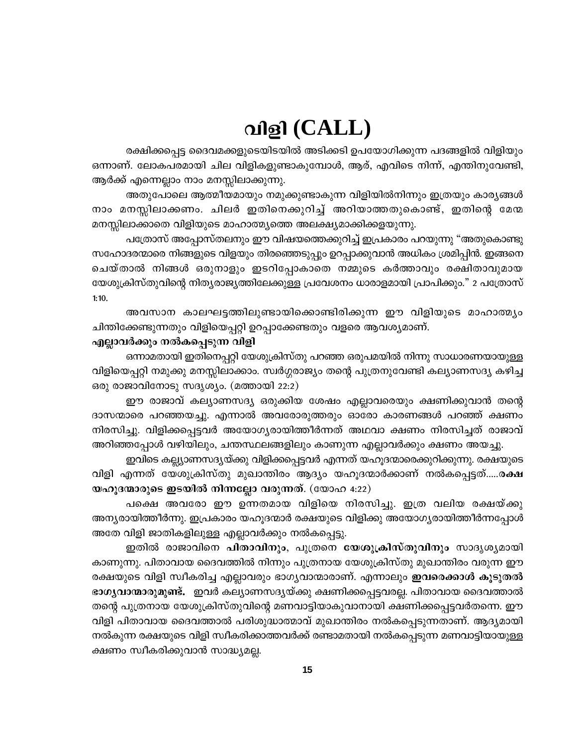## വിളി (CALL)

രക്ഷിക്കപ്പെട്ട ദൈവമക്കളുടെയിടയിൽ അടിക്കടി ഉപയോഗിക്കുന്ന പദങ്ങളിൽ വിളിയും ഒന്നാണ്. ലോകപരമായി ചില വിളികളുണ്ടാകുമ്പോൾ, ആര്, എവിടെ നിന്ന്, എന്തിനുവേണ്ടി, ആർക്ക് എന്നെല്ലാം നാം മനസ്സിലാക്കുന്നു.

അതുപോലെ ആത്മീയമായും നമുക്കുണ്ടാകുന്ന വിളിയിൽനിന്നും ഇത്രയും കാര്യങ്ങൾ നാം മനസ്സിലാക്കണം. ചിലർ ഇതിനെക്കുറിച്ച് അറിയാത്തതുകൊണ്ട്, ഇതിന്റെ മേന്മ മനസ്സിലാക്കാതെ വിളിയുടെ മാഹാത്മ്യത്തെ അലക്ഷ്യമാക്കിക്കളയുന്നു.

പത്രോസ് അപ്പോസ്തലനും ഈ വിഷയത്തെക്കുറിച്ച് ഇപ്രകാരം പറയുന്നു "അതുകൊണ്ടു സഹോദരന്മാരെ നിങ്ങളുടെ വിളയും തിരഞ്ഞെടുപ്പും ഉറപ്പാക്കുവാൻ അധികം ശ്രമിപ്പിൻ. ഇങ്ങനെ ചെയ്താൽ നിങ്ങൾ ഒരുനാളും ഇടറിപ്പോകാതെ നമ്മുടെ കർത്താവും രക്ഷിതാവുമായ യേശുക്രിസ്തുവിന്റെ നിതൃരാജ്യത്തിലേക്കുള്ള പ്രവേശനം ധാരാളമായി പ്രാപിക്കും." 2 പത്രോസ്  $1:10.$ 

അവസാന കാലഘട്ടത്തിലുണ്ടായിക്കൊണ്ടിരിക്കുന്ന ഈ വിളിയുടെ മാഹാത്മ്യം ചിന്തിക്കേണ്ടുന്നതും വിളിയെപ്പറ്റി ഉറപ്പാക്കേണ്ടതും വളരെ ആവശ്യമാണ്.

#### എല്ലാവർക്കും നൽകപ്പെടുന്ന വിളി

ഒന്നാമതായി ഇതിനെപ്പറ്റി യേശുക്രിസ്തു പറഞ്ഞ ഒരുപമയിൽ നിന്നു സാധാരണയായുള്ള വിളിയെപ്പറ്റി നമുക്കു മനസ്സിലാക്കാം. സ്വർഗ്ഗരാജ്യം തന്റെ പുത്രനുവേണ്ടി കല്യാണസദ്യ കഴിച്ച ഒരു രാജാവിനോടു സദൃശ്യം. (മത്തായി 22:2)

ഈ രാജാവ് കല്യാണസദ്യ ഒരുക്കിയ ശേഷം എല്ലാവരെയും ക്ഷണിക്കുവാൻ തന്റെ ദാസന്മാരെ പറഞ്ഞയച്ചു. എന്നാൽ അവരോരുത്തരും ഓരോ കാരണങ്ങൾ പറഞ്ഞ് ക്ഷണം നിരസിച്ചു. വിളിക്കപ്പെട്ടവർ അയോഗ്യരായിത്തീർന്നത് അഥവാ ക്ഷണം നിരസിച്ചത് രാജാവ് അറിഞ്ഞപ്പോൾ വഴിയിലും, ചന്തസ്ഥലങ്ങളിലും കാണുന്ന എല്ലാവർക്കും ക്ഷണം അയച്ചു.

ഇവിടെ കല്ല്യാണസദ്യയ്ക്കു വിളിക്കപ്പെട്ടവർ എന്നത് യഹൂദന്മാരെക്കുറിക്കുന്നു. രക്ഷയുടെ വിളി എന്നത് യേശുക്രിസ്തു മുഖാന്തിരം ആദ്യം യഹൂദന്മാർക്കാണ് നൽകപ്പെട്ടത്.....ര**ക്ഷ** യഹുദന്മാരുടെ ഇടയിൽ നിന്നല്ലോ വരുന്നത്. (യോഹ 4:22)

പക്ഷെ അവരോ ഈ ഉന്നതമായ വിളിയെ നിരസിച്ചു. ഇത്ര വലിയ രക്ഷയ്ക്കു അന്യരായിത്തീർന്നു. ഇപ്രകാരം യഹൂദന്മാർ രക്ഷയുടെ വിളിക്കു അയോഗ്യരായിത്തീർന്നപ്പോൾ അതേ വിളി ജാതികളിലുള്ള എല്ലാവർക്കും നൽകപ്പെട്ടു.

ഇതിൽ രാജാവിനെ പിതാവിനും, പുത്രനെ യേശുക്രിസ്തുവിനും സാദൃശ്യമായി കാണുന്നു. പിതാവായ ദൈവത്തിൽ നിന്നും പുത്രനായ യേശുക്രിസ്തു മുഖാന്തിരം വരുന്ന ഈ രക്ഷയുടെ വിളി സ്വീകരിച്ച എല്ലാവരും ഭാഗ്യവാന്മാരാണ്. എന്നാലും **ഇവരെക്കാൾ കൂടുതൽ** ഭാഗൃവാന്മാരുമുണ്ട്. ഇവർ കല്യാണസദ്യയ്ക്കു ക്ഷണിക്കപ്പെട്ടവരല്ല. പിതാവായ ദൈവത്താൽ തന്റെ പുത്രനായ യേശുക്രിസ്തുവിന്റെ മണവാട്ടിയാകുവാനായി ക്ഷണിക്കപ്പെട്ടവർതന്നെ. ഈ വിളി പിതാവായ ദൈവത്താൽ പരിശുദ്ധാത്മാവ് മുഖാന്തിരം നൽകപ്പെടുന്നതാണ്. ആദ്യമായി നൽകുന്ന രക്ഷയുടെ വിളി സ്വീകരിക്കാത്തവർക്ക് രണ്ടാമതായി നൽകപ്പെടുന്ന മണവാട്ടിയായുള്ള ക്ഷണം സ്വീകരിക്കുവാൻ സാദ്ധ്യമല്ല.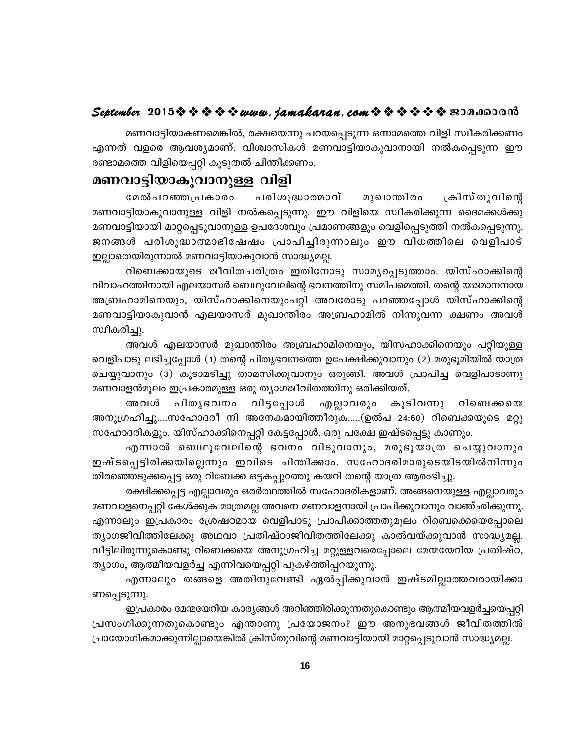മണവാട്ടിയാകണമെങ്കിൽ, രക്ഷയെന്നു പറയപ്പെടുന്ന ഒന്നാമത്തെ വിളി സ്വീകരിക്കണം എന്നത് വളരെ ആവശ്യമാണ്. വിശ്വാസികൾ മണവാട്ടിയാകുവാനായി നൽകപ്പെടുന്ന ഈ രണ്ടാമത്തെ വിളിയെപ്പറ്റി കൂടുതൽ ചിന്തിക്കണം.

#### മണവാട്ടിയാകുവാനുള്ള വിളി

മേൽപറഞ്ഞപ്രകാരം പരിശുദ്ധാത്മാവ് മുഖാന്തിരം ക്രിസ് തുവിന്റെ മണവാട്ടിയാകുവാനുള്ള വിളി നൽകപ്പെടുന്നു. ഈ വിളിയെ സ്വീകരിക്കുന്ന ദൈമക്കൾക്കു മണവാട്ടിയായി മാറ്റപ്പെടുവാനുള്ള ഉപദേശവും പ്രമാണങ്ങളും വെളിപ്പെടുത്തി നൽകപ്പെടുന്നു. ജനങ്ങൾ പരിശുദ്ധാത്മാഭിഷേഷം പ്രാപിച്ചിരുന്നാലും ഈ വിധത്തിലെ വെളിപാട് ഇല്ലാതെയിരുന്നാൽ മണവാട്ടിയാകുവാൻ സാദ്ധ്യമല്ല.

റിബെക്കായുടെ ജീവിതചരിത്രം ഇതിനോടു സാമൃപ്പെടുത്താം. യിസ്ഹാക്കിന്റെ വിവാഹത്തിനായി എലയാസർ ബെഥുവേലിന്റെ ഭവനത്തിനു സമീപമെത്തി. തന്റെ യജമാനനായ അബ്രഹാമിനെയും, യിസ്ഹാക്കിനെയുംപറ്റി അവരോടു പറഞ്ഞപ്പോൾ യിസ്ഹാക്കിന്റെ മണവാട്ടിയാകുവാൻ എലയാസർ മുഖാന്തിരം അബ്രഹാമിൽ നിന്നുവന്ന ക്ഷണം അവൾ സ്വീകരിച്ചു.

അവൾ എലയാസർ മുഖാന്തിരം അബ്രഹാമിനെയും, യിസഹാക്കിനെയും പറ്റിയുള്ള വെളിപാടു ലഭിച്ചപ്പോൾ (1) തന്റെ പിതൃഭവനത്തെ ഉപേക്ഷിക്കുവാനും (2) മരുഭൂമിയിൽ യാത്ര ചെയ്യുവാനും (3) കൂടാമടിച്ചു താമസിക്കുവാനും ഒരുങ്ങി. അവൾ പ്രാപിച്ച വെളിപാടാണു മണവാളൻമൂലം ഇപ്രകാരമുള്ള ഒരു ത്യാഗജീവിതത്തിനു ഒരിക്കിയത്.

പിതൃഭവനം വിട്ടപ്പോൾ അവൾ എല്ലാവരും കൂടിവന്നു റിബെക്കയെ അനുഗ്രഹിച്ചു....സഹോദരീ നി അനേകമായിത്തീരുക.....(ഉൽപ 24:60) റിബെക്കയുടെ മറ്റു സഹോദരികളും, യിസ്ഹാക്കിനെപ്പറ്റി കേട്ടപ്പോൾ, ഒരു പക്ഷേ ഇഷ്ടപ്പെട്ടു കാണും.

എന്നാൽ ബെഥൂവേലിന്റെ ഭവനം വിടുവാനും, മരുഭൂയാത്ര ചെയ്യുവാനും ഇഷ്ടപ്പെട്ടിരിക്കയില്ലെന്നും ഇവിടെ ചിന്തിക്കാം. സഹോദരിമാരുടെയിടയിൽനിന്നും തിരഞ്ഞെടുക്കപ്പെട്ട ഒരു റിബേക്ക ഒട്ടകപ്പുറത്തു കയറി തന്റെ യാത്ര ആരംഭിച്ചു.

രക്ഷിക്കപ്പെട്ട എല്ലാവരും ഒരർത്ഥത്തിൽ സഹോദരികളാണ്. അങ്ങനെയുള്ള എല്ലാവരും മണവാളനെപ്പറ്റി കേൾക്കുക മാത്രമല്ല അവനെ മണവാളനായി പ്രാപിക്കുവാനും വാഞ്ഛിക്കുന്നു. എന്നാലും ഇപ്രകാരം ശ്രേഷഠമായ വെളിപാടു പ്രാപിക്കാത്തതുമൂലം റിബെക്കെയെപ്പോലെ ത്യാഗജീവിത്തിലേക്കു അഥവാ പ്രതിഷ്ഠാജീവിതത്തിലേക്കു കാൽവയ്ക്കുവാൻ സാദ്ധ്യമല്ല. വീട്ടിലിരുന്നുകൊണ്ടു റിബെക്കയെ അനുഗ്രഹിച്ച മറ്റുള്ളവരെപ്പോലെ മേന്മയേറിയ പ്രതിഷ്ഠ, ത്യാഗം, ആത്മീയവളർച്ച എന്നിവയെപ്പറ്റി പുകഴ്ത്തിപ്പറയുന്നു.

എന്നാലും തങ്ങളെ അതിനുവേണ്ടി ഏൽപ്പിക്കുവാൻ ഇഷ്ടമില്ലാത്തവരായിക്കാ ണപ്പെടുന്നു.

ഇപ്രകാരം മേന്മയേറിയ കാര്യങ്ങൾ അറിഞ്ഞിരിക്കുന്നതുകൊണ്ടും ആത്മീയവളർച്ചയെപ്പറ്റി പ്രസംഗിക്കുന്നതുകൊണ്ടും എന്താണു പ്രയോജനം? ഈ അനുഭവങ്ങൾ ജീവിതത്തിൽ പ്രായോഗികമാക്കുന്നില്ലായെങ്കിൽ ക്രിസ്തുവിന്റെ മണവാട്ടിയായി മാറ്റപ്പെടുവാൻ സാദ്ധ്യമല്ല.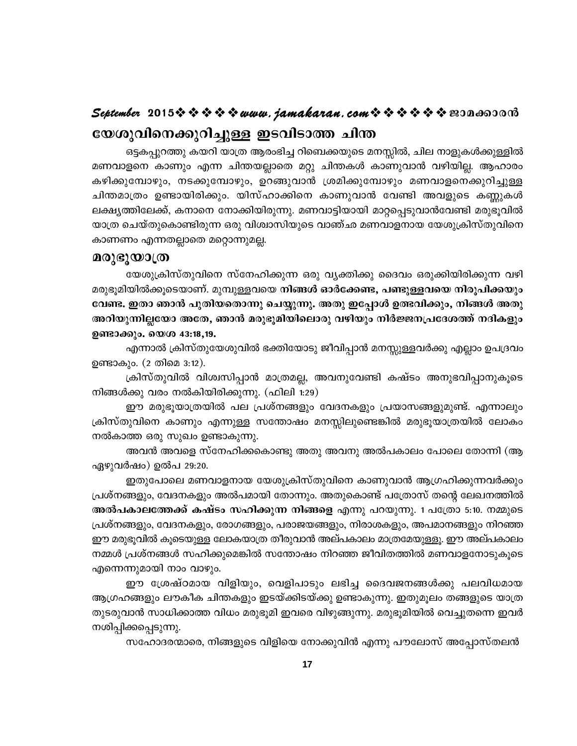### September 2015 \* \* \* \* \* www.jamakaran.com \* \* \* \* \* \* \* 2010 യേശുവിനെക്കുറിച്ചുള്ള ഇടവിടാത്ത ചിന്ത

ഒട്ടകപ്പുറത്തു കയറി യാത്ര ആരംഭിച്ച റിബെക്കയുടെ മനസ്സിൽ, ചില നാളുകൾക്കുള്ളിൽ മണവാളനെ കാണും എന്ന ചിന്തയല്ലാതെ മറ്റു ചിന്തകൾ കാണുവാൻ വഴിയില്ല. ആഹാരം കഴിക്കുമ്പോഴും, നടക്കുമ്പോഴും, ഉറങ്ങുവാൻ ശ്രമിക്കുമ്പോഴും മണവാളനെക്കുറിച്ചുള്ള ചിന്തമാത്രം ഉണ്ടായിരിക്കും. യിസ്ഹാക്കിനെ കാണുവാൻ വേണ്ടി അവളുടെ കണ്ണുകൾ ലക്ഷ്യത്തിലേക്ക്, കനാനെ നോക്കിയിരുന്നു. മണവാട്ടിയായി മാറ്റപ്പെടുവാൻവേണ്ടി മരുഭൂവിൽ യാത്ര ചെയ്തുകൊണ്ടിരുന്ന ഒരു വിശ്വാസിയുടെ വാഞ്ഛ മണവാളനായ യേശുക്രിസ്തുവിനെ കാണണം എന്നതല്ലാതെ മറ്റൊന്നുമല്ല.

#### മരുഭൂയാത്ര

യേശുക്രിസ്തുവിനെ സ്നേഹിക്കുന്ന ഒരു വ്യക്തിക്കു ദൈവം ഒരുക്കിയിരിക്കുന്ന വഴി മരുഭൂമിയിൽക്കൂടെയാണ്. മുമ്പുള്ളവയെ നിങ്ങൾ ഓർക്കേണ്ട, പണ്ടുള്ളവയെ നിരൂപിക്കയും വേണ്ട. ഇതാ ഞാൻ പുതിയതൊന്നു ചെയ്യുന്നു. അതു ഇപ്പോൾ ഉത്ഭവിക്കും, നിങ്ങൾ അതു അറിയുന്നില്ലയോ അതേ, ഞാൻ മരുഭൂമിയിലൊരു വഴിയും നിർജ്ജനപ്രദേശത്ത് നദികളും ഉണ്ടാക്കും. യെശ 43:18,19.

എന്നാൽ ക്രിസ്തുയേശുവിൽ ഭക്തിയോടു ജീവിപ്പാൻ മനസ്സുള്ളവർക്കു എല്ലാം ഉപദ്രവം ഉണ്ടാകും. (2 തിമെ 3:12).

ക്രിസ്തുവിൽ വിശ്വസിപ്പാൻ മാത്രമല്ല, അവനുവേണ്ടി കഷ്ടം അനുഭവിപ്പാനുകൂടെ നിങ്ങൾക്കു വരം നൽകിയിരിക്കുന്നു. (ഫിലി 1:29)

ഈ മരുഭൂയാത്രയിൽ പല പ്രശ്നങ്ങളും വേദനകളും പ്രയാസങ്ങളുമുണ്ട്. എന്നാലും ക്രിസ്തുവിനെ കാണും എന്നുള്ള സന്തോഷം മനസ്സിലുണ്ടെങ്കിൽ മരുഭൂയാത്രയിൽ ലോകം നൽകാത്ത ഒരു സുഖം ഉണ്ടാകുന്നു.

അവൻ അവളെ സ്നേഹിക്കകൊണ്ടു അതു അവനു അൽപകാലം പോലെ തോന്നി (ആ ഏഴുവർഷം) ഉൽപ 29:20.

ഇതുപോലെ മണവാളനായ യേശുക്രിസ്തുവിനെ കാണുവാൻ ആഗ്രഹിക്കുന്നവർക്കും പ്രശ്നങ്ങളും, വേദനകളും അൽപമായി തോന്നും. അതുകൊണ്ട് പത്രോസ് തന്റെ ലേഖനത്തിൽ അൽപകാലത്തേക്ക് കഷ്ടം സഹിക്കുന്ന നിങ്ങളെ എന്നു പറയുന്നു. 1 പത്രോ 5:10. നമ്മുടെ പ്രശ്നങ്ങളും, വേദനകളും, രോഗങ്ങളും, പരാജയങ്ങളും, നിരാശകളും, അപമാനങ്ങളും നിറഞ്ഞ ഈ മരുഭൂവിൽ കുടെയുള്ള ലോകയാത്ര തീരുവാൻ അല്പകാലം മാത്രമേയുള്ളു. ഈ അല്പകാലം നമ്മൾ പ്രശ്നങ്ങൾ സഹിക്കുമെങ്കിൽ സന്തോഷം നിറഞ്ഞ ജീവിതത്തിൽ മണവാളനോടുകൂടെ എന്നെന്നുമായി നാം വാഴും.

ഈ ശ്രേഷ്ഠമായ വിളിയും, വെളിപാടും ലഭിച്ച ദൈവജനങ്ങൾക്കു പലവിധമായ ആഗ്രഹങ്ങളും ലൗകീക ചിന്തകളും ഇടയ്ക്കിടയ്ക്കു ഉണ്ടാകുന്നു. ഇതുമൂലം തങ്ങളുടെ യാത്ര തുടരുവാൻ സാധിക്കാത്ത വിധം മരുഭൂമി ഇവരെ വിഴുങ്ങുന്നു. മരുഭൂമിയിൽ വെച്ചുതന്നെ ഇവർ നശിപ്പിക്കപ്പെടുന്നു.

സഹോദരന്മാരെ, നിങ്ങളുടെ വിളിയെ നോക്കുവിൻ എന്നു പൗലോസ് അപ്പോസ്തലൻ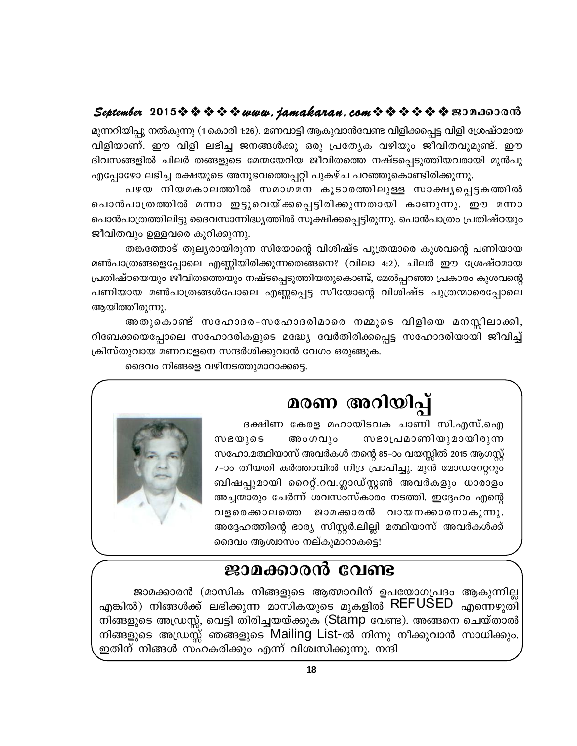### September 2015  $\hat{\mathbf{v}} \cdot \hat{\mathbf{v}} \cdot \hat{\mathbf{v}} \cdot \hat{\mathbf{v}}$  www.jamakaran.com  $\hat{\mathbf{v}} \cdot \hat{\mathbf{v}} \cdot \hat{\mathbf{v}} \cdot \hat{\mathbf{v}}$  and  $\hat{\mathbf{v}}$

മുന്നറിയിപ്പു നൽകുന്നു (1കൊരി 1:26). മണവാട്ടി ആകുവാൻവേണ്ട വിളിക്കപ്പെട്ട വിളി ശ്രേഷ്ഠമായ വിളിയാണ്. ഈ വിളി ലഭിച്ച ജനങ്ങൾക്കു ഒരു പ്രത്യേക വഴിയും ജീവിതവുമുണ്ട്. ഈ ദിവസങ്ങളിൽ ചിലർ തങ്ങളുടെ മേന്മയേറിയ ജീവിതത്തെ നഷ്ടപ്പെടുത്തിയവരായി മുൻപു എപ്പോഴോ ലഭിച്ച രക്ഷയുടെ അനുഭവത്തെപ്പറ്റി പുകഴ്ച പറഞ്ഞുകൊണ്ടിരിക്കുന്നു.

പഴയ നിയമകാലത്തിൽ സമാഗമന കൂടാരത്തിലുള്ള സാക്ഷ്യപ്പെട്ടകത്തിൽ പൊൻപാത്രത്തിൽ മന്നാ ഇട്ടുവെയ്ക്കപ്പെട്ടിരിക്കുന്നതായി കാണുന്നു. ഈ മന്നാ പൊൻപാത്രത്തിലിട്ടു ദൈവസാന്നിദ്ധ്യത്തിൽ സൂക്ഷിക്കപ്പെട്ടിരുന്നു. പൊൻപാത്രം പ്രതിഷ്ഠയും ജീവിതവും ഉള്ളവരെ കുറിക്കുന്നു.

തങ്കത്തോട് തുല്യരായിരുന്ന സിയോന്റെ വിശിഷ്ട പുത്രന്മാരെ കുശവന്റെ പണിയായ മൺപാത്രങ്ങളെപ്പോലെ എണ്ണിയിരിക്കുന്നതെങ്ങനെ? (വിലാ 4:2). ചിലർ ഈ ശ്രേഷ്ഠമായ പ്രതിഷ്ഠയെയും ജീവിതത്തെയും നഷ്ടപ്പെടുത്തിയതുകൊണ്ട്, മേൽപ്പറഞ്ഞ പ്രകാരം കുശവന്റെ പണിയായ മൺപാത്രങ്ങൾപോലെ എണ്ണപ്പെട്ട സീയോന്റെ വിശിഷ്ട പുത്രന്മാരെപ്പോലെ ആയിത്തീരുന്നു.

അതുകൊണ്ട് സഹോദര-സഹോദരിമാരെ നമ്മുടെ വിളിയെ മനസ്സിലാക്കി, റിബേക്കയെപ്പോലെ സഹോദരികളുടെ മദ്ധ്യേ വേർതിരിക്കപ്പെട്ട സഹോദരിയായി ജീവിച്ച് ക്രിസ്തുവായ മണവാളനെ സന്ദർശിക്കുവാൻ വേഗം ഒരുങ്ങുക.

ദൈവം നിങ്ങളെ വഴിനടത്തുമാറാക്കട്ടെ.

# മരണ അറിയിപ്പ്

ദക്ഷിണ കേരള മഹായിടവക ചാണി സി.എസ്.ഐ സഭാപ്രമാണിയുമായിരുന്ന സഭയുടെ അംഗവും സഹോ.മത്ഥിയാസ് അവർകൾ തന്റെ 85–ാം വയസ്സിൽ 2015 ആഗസ്റ്റ് 7-ാം തീയതി കർത്താവിൽ നിദ്ര പ്രാപിച്ചു. മുൻ മോഡറേറ്ററും ബിഷപ്പുമായി റൈറ്റ്.റവ.ഗ്ലാഡ്സ്റ്റൺ അവർകളും ധാരാളം അച്ചന്മാരും ചേർന്ന് ശവസംസ്കാരം നടത്തി. ഇദ്ദേഹം എന്റെ വളരെക്കാലത്തെ ജാമക്കാരൻ വായനക്കാരനാകുന്നു. അദ്ദേഹത്തിന്റെ ഭാര്യ സിസ്റ്റർ.ലില്ലി മത്ഥിയാസ് അവർകൾക്ക് ദൈവം ആശ്വാസം നല്കുമാറാകട്ടെ!



## ജാമക്കാരൻ വേണ്ട

ജാമക്കാരൻ (മാസിക നിങ്ങളുടെ ആത്മാവിന് ഉപയോഗപ്രദം ആകുന്നില്ല എങ്കിൽ) നിങ്ങൾക്ക് ലഭിക്കുന്ന മാസികയുടെ മുകളിൽ REFUSED എന്നെഴുതി നിങ്ങളുടെ അഡ്രസ്സ്, വെട്ടി തിരിച്ചയയ്ക്കുക (Stamp വേണ്ട). അങ്ങനെ ചെയ്താൽ നിങ്ങളുടെ അഡ്രസ്സ് ഞങ്ങളുടെ Mailing List-ൽ നിന്നു നീക്കുവാൻ സാധിക്കും. ഇതിന് നിങ്ങൾ സഹകരിക്കും എന്ന് വിശ്വസിക്കുന്നു. നന്ദി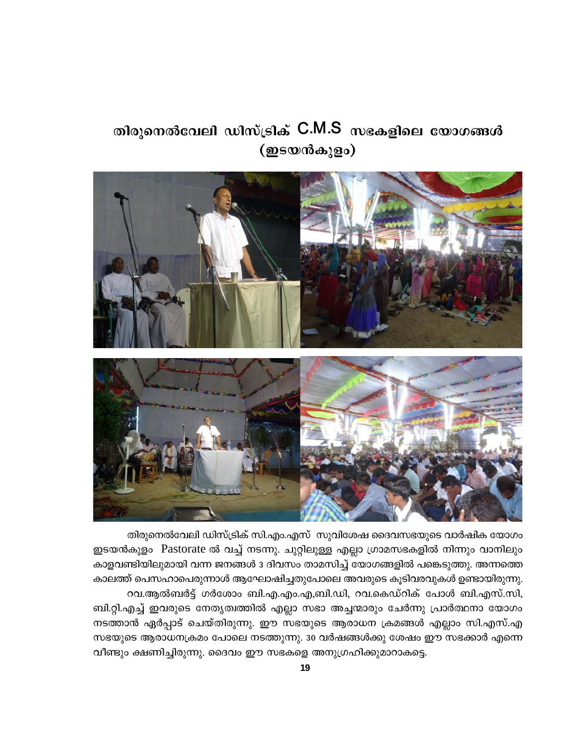## തിരുനെൽവേലി ഡിസ്ട്രിക് C.M.S സഭകളിലെ യോഗങ്ങൾ (ഇടയൻകുളം)



തിരുനെൽവേലി ഡിസ്ട്രിക് സി.എം.എസ് സുവിശേഷ ദൈവസഭയുടെ വാർഷിക യോഗം ഇടയൻകുളം Pastorate ൽ വച്ച് നടന്നു. ചുറ്റിലുള്ള എല്ലാ ഗ്രാമസഭകളിൽ നിന്നും വാനിലും കാളവണ്ടിയിലുമായി വന്ന ജനങ്ങൾ 3 ദിവസം താമസിച്ച് യോഗങ്ങളിൽ പങ്കെടുത്തു. അന്നത്തെ കാലത്ത് പെസഹാപെരുന്നാൾ ആഘോഷിച്ചതുപോലെ അവരുടെ കൂടിവരവുകൾ ഉണ്ടായിരുന്നു. റവ.ആൽബർട്ട് ഗർശോം ബി.എ.എം.എ,ബി.ഡി, റവ.കെഡ്റിക് പോൾ ബി.എസ്.സി, ബി.റ്റി.എച്ച് ഇവരുടെ നേതൃത്വത്തിൽ എല്ലാ സഭാ അച്ചന്മാരും ചേർന്നു പ്രാർത്ഥനാ യോഗം നടത്താൻ ഏർപ്പാട് ചെയ്തിരുന്നു. ഈ സഭയുടെ ആരാധന ക്രമങ്ങൾ എല്ലാം സി.എസ്.എ സഭയുടെ ആരാധനക്രമം പോലെ നടത്തുന്നു. 30 വർഷങ്ങൾക്കു ശേഷം ഈ സഭക്കാർ എന്നെ വീണ്ടും ക്ഷണിച്ചിരുന്നു. ദൈവം ഈ സഭകളെ അനുഗ്രഹിക്കുമാറാകട്ടെ.